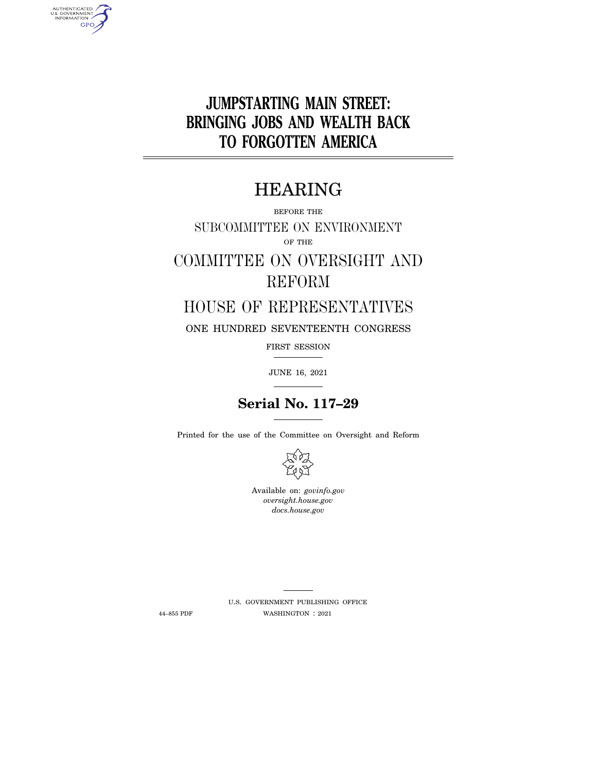

# HEARING

BEFORE THE

SUBCOMMITTEE ON ENVIRONMENT OF THE

# COMMITTEE ON OVERSIGHT AND REFORM

## HOUSE OF REPRESENTATIVES

ONE HUNDRED SEVENTEENTH CONGRESS

FIRST SESSION

JUNE 16, 2021

# **Serial No. 117–29**

Printed for the use of the Committee on Oversight and Reform



Available on: *govinfo.gov oversight.house.gov docs.house.gov* 

AUTHENTICATED<br>U.S. GOVERNMENT<br>INFORMATION **GPO** 

> U.S. GOVERNMENT PUBLISHING OFFICE 44–855 PDF WASHINGTON : 2021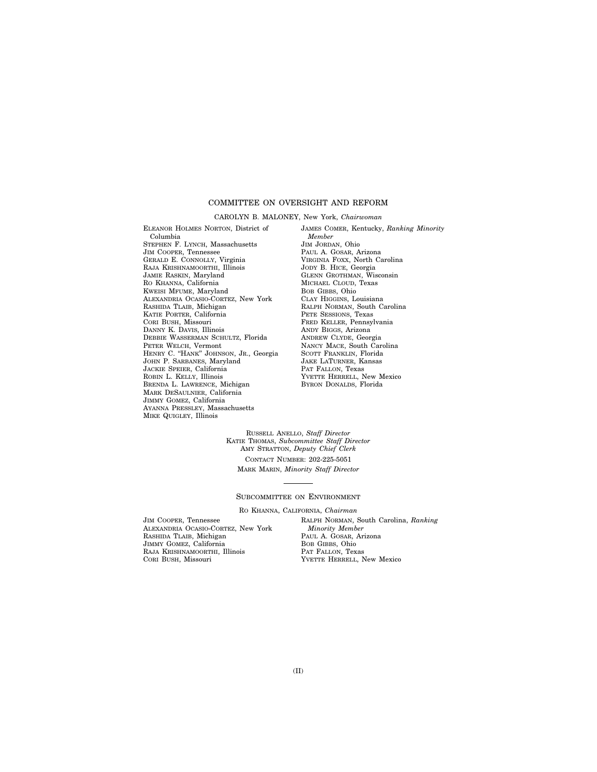### COMMITTEE ON OVERSIGHT AND REFORM

#### CAROLYN B. MALONEY, New York, *Chairwoman*

ELEANOR HOLMES NORTON, District of Columbia STEPHEN F. LYNCH, Massachusetts JIM COOPER, Tennessee GERALD E. CONNOLLY, Virginia RAJA KRISHNAMOORTHI, Illinois JAMIE RASKIN, Maryland RO KHANNA, California KWEISI MFUME, Maryland ALEXANDRIA OCASIO-CORTEZ, New York RASHIDA TLAIB, Michigan KATIE PORTER, California CORI BUSH, Missouri DANNY K. DAVIS, Illinois DEBBIE WASSERMAN SCHULTZ, Florida PETER WELCH, Vermont HENRY C. "HANK" JOHNSON, JR., Georgia JOHN P. SARBANES, Maryland JACKIE SPEIER, California ROBIN L. KELLY, Illinois BRENDA L. LAWRENCE, Michigan MARK DESAULNIER, California JIMMY GOMEZ, California AYANNA PRESSLEY, Massachusetts MIKE QUIGLEY, Illinois

JAMES COMER, Kentucky, *Ranking Minority Member*  JIM JORDAN, Ohio PAUL A. GOSAR, Arizona VIRGINIA FOXX, North Carolina JODY B. HICE, Georgia GLENN GROTHMAN, Wisconsin MICHAEL CLOUD, Texas BOB GIBBS, Ohio CLAY HIGGINS, Louisiana RALPH NORMAN, South Carolina PETE SESSIONS, Texas FRED KELLER, Pennsylvania ANDY BIGGS, Arizona ANDREW CLYDE, Georgia NANCY MACE, South Carolina SCOTT FRANKLIN, Florida JAKE LATURNER, Kansas PAT FALLON, Texas YVETTE HERRELL, New Mexico BYRON DONALDS, Florida

RUSSELL ANELLO, *Staff Director*  KATIE THOMAS, *Subcommittee Staff Director*  AMY STRATTON, *Deputy Chief Clerk* 

CONTACT NUMBER: 202-225-5051 MARK MARIN, *Minority Staff Director* 

### SUBCOMMITTEE ON ENVIRONMENT

RO KHANNA, CALIFORNIA, *Chairman* 

JIM COOPER, Tennessee ALEXANDRIA OCASIO-CORTEZ, New York RASHIDA TLAIB, Michigan JIMMY GOMEZ, California RAJA KRISHNAMOORTHI, Illinois CORI BUSH, Missouri

RALPH NORMAN, South Carolina, *Ranking Minority Member*  PAUL A. GOSAR, Arizona BOB GIBBS, Ohio PAT FALLON, Texas YVETTE HERRELL, New Mexico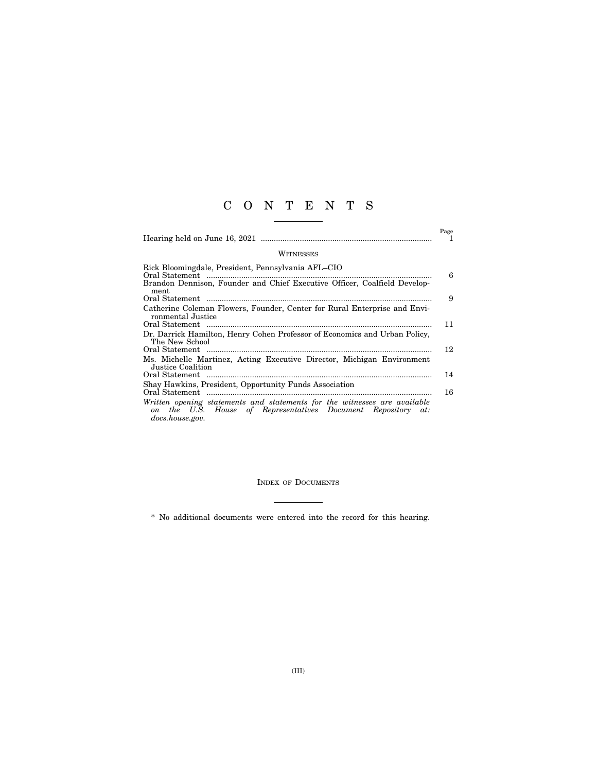## C O N T E N T S

|                                                                                                                                                              | Page<br>1 |
|--------------------------------------------------------------------------------------------------------------------------------------------------------------|-----------|
| WITNESSES                                                                                                                                                    |           |
| Rick Bloomingdale, President, Pennsylvania AFL-CIO<br>Brandon Dennison, Founder and Chief Executive Officer, Coalfield Develop-<br>ment                      | 6         |
|                                                                                                                                                              | 9         |
| Catherine Coleman Flowers, Founder, Center for Rural Enterprise and Envi-                                                                                    |           |
| ronmental Justice                                                                                                                                            | 11        |
| Dr. Darrick Hamilton, Henry Cohen Professor of Economics and Urban Policy,<br>The New School                                                                 |           |
|                                                                                                                                                              | 12        |
| Ms. Michelle Martinez, Acting Executive Director, Michigan Environment<br>Justice Coalition                                                                  |           |
|                                                                                                                                                              | 14        |
| Shay Hawkins, President, Opportunity Funds Association                                                                                                       |           |
|                                                                                                                                                              | 16        |
| Written opening statements and statements for the witnesses are available<br>on the U.S. House of Representatives Document Repository at:<br>docs.house.gov. |           |

INDEX OF DOCUMENTS

\* No additional documents were entered into the record for this hearing.

 $\overline{\phantom{a}}$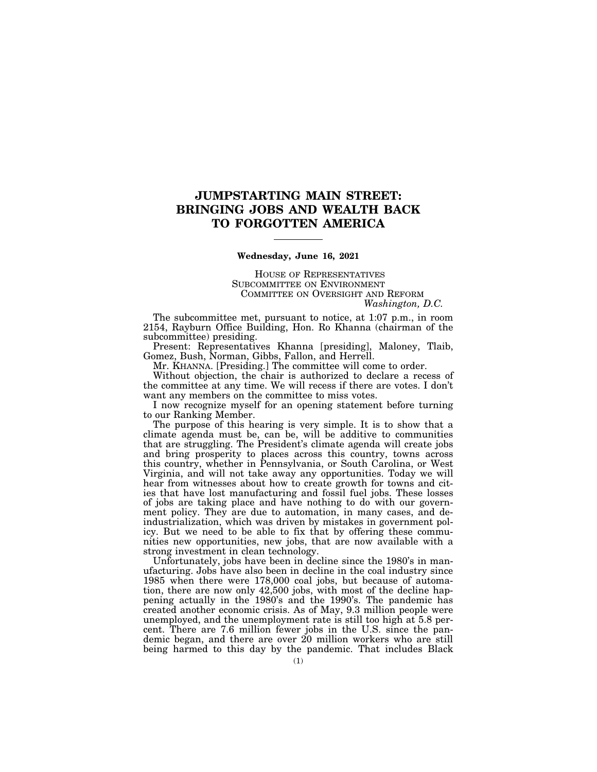### **JUMPSTARTING MAIN STREET: BRINGING JOBS AND WEALTH BACK TO FORGOTTEN AMERICA**

### **Wednesday, June 16, 2021**

HOUSE OF REPRESENTATIVES SUBCOMMITTEE ON ENVIRONMENT COMMITTEE ON OVERSIGHT AND REFORM *Washington, D.C.* 

The subcommittee met, pursuant to notice, at 1:07 p.m., in room 2154, Rayburn Office Building, Hon. Ro Khanna (chairman of the subcommittee) presiding.

Present: Representatives Khanna [presiding], Maloney, Tlaib, Gomez, Bush, Norman, Gibbs, Fallon, and Herrell.

Mr. KHANNA. [Presiding.] The committee will come to order.

Without objection, the chair is authorized to declare a recess of the committee at any time. We will recess if there are votes. I don't want any members on the committee to miss votes.

I now recognize myself for an opening statement before turning to our Ranking Member.

The purpose of this hearing is very simple. It is to show that a climate agenda must be, can be, will be additive to communities that are struggling. The President's climate agenda will create jobs and bring prosperity to places across this country, towns across this country, whether in Pennsylvania, or South Carolina, or West Virginia, and will not take away any opportunities. Today we will hear from witnesses about how to create growth for towns and cities that have lost manufacturing and fossil fuel jobs. These losses of jobs are taking place and have nothing to do with our government policy. They are due to automation, in many cases, and deindustrialization, which was driven by mistakes in government policy. But we need to be able to fix that by offering these communities new opportunities, new jobs, that are now available with a strong investment in clean technology.

Unfortunately, jobs have been in decline since the 1980's in manufacturing. Jobs have also been in decline in the coal industry since 1985 when there were 178,000 coal jobs, but because of automation, there are now only 42,500 jobs, with most of the decline happening actually in the 1980's and the 1990's. The pandemic has created another economic crisis. As of May, 9.3 million people were unemployed, and the unemployment rate is still too high at 5.8 percent. There are 7.6 million fewer jobs in the U.S. since the pandemic began, and there are over 20 million workers who are still being harmed to this day by the pandemic. That includes Black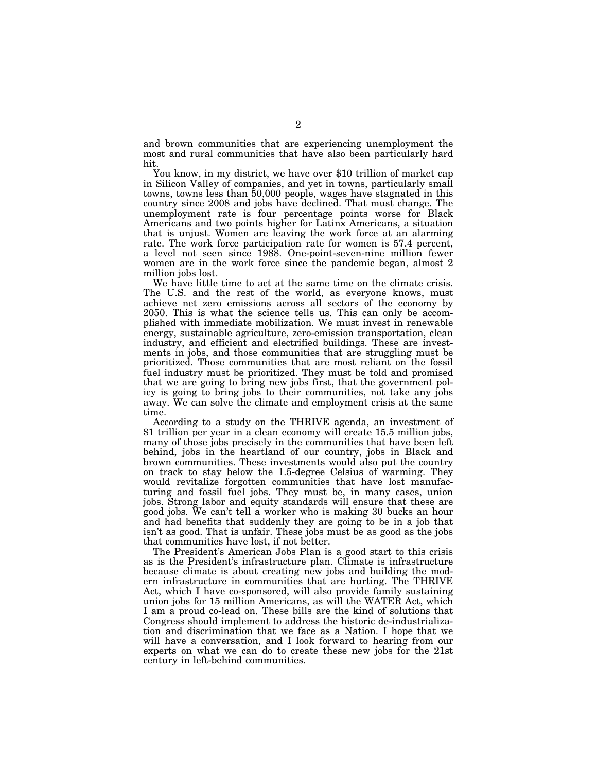and brown communities that are experiencing unemployment the most and rural communities that have also been particularly hard hit.

You know, in my district, we have over \$10 trillion of market cap in Silicon Valley of companies, and yet in towns, particularly small towns, towns less than 50,000 people, wages have stagnated in this country since 2008 and jobs have declined. That must change. The unemployment rate is four percentage points worse for Black Americans and two points higher for Latinx Americans, a situation that is unjust. Women are leaving the work force at an alarming rate. The work force participation rate for women is 57.4 percent, a level not seen since 1988. One-point-seven-nine million fewer women are in the work force since the pandemic began, almost 2 million jobs lost.

We have little time to act at the same time on the climate crisis. The U.S. and the rest of the world, as everyone knows, must achieve net zero emissions across all sectors of the economy by 2050. This is what the science tells us. This can only be accomplished with immediate mobilization. We must invest in renewable energy, sustainable agriculture, zero-emission transportation, clean industry, and efficient and electrified buildings. These are investments in jobs, and those communities that are struggling must be prioritized. Those communities that are most reliant on the fossil fuel industry must be prioritized. They must be told and promised that we are going to bring new jobs first, that the government policy is going to bring jobs to their communities, not take any jobs away. We can solve the climate and employment crisis at the same time.

According to a study on the THRIVE agenda, an investment of \$1 trillion per year in a clean economy will create 15.5 million jobs, many of those jobs precisely in the communities that have been left behind, jobs in the heartland of our country, jobs in Black and brown communities. These investments would also put the country on track to stay below the 1.5-degree Celsius of warming. They would revitalize forgotten communities that have lost manufacturing and fossil fuel jobs. They must be, in many cases, union jobs. Strong labor and equity standards will ensure that these are good jobs. We can't tell a worker who is making 30 bucks an hour and had benefits that suddenly they are going to be in a job that isn't as good. That is unfair. These jobs must be as good as the jobs that communities have lost, if not better.

The President's American Jobs Plan is a good start to this crisis as is the President's infrastructure plan. Climate is infrastructure because climate is about creating new jobs and building the modern infrastructure in communities that are hurting. The THRIVE Act, which I have co-sponsored, will also provide family sustaining union jobs for 15 million Americans, as will the WATER Act, which I am a proud co-lead on. These bills are the kind of solutions that Congress should implement to address the historic de-industrialization and discrimination that we face as a Nation. I hope that we will have a conversation, and I look forward to hearing from our experts on what we can do to create these new jobs for the 21st century in left-behind communities.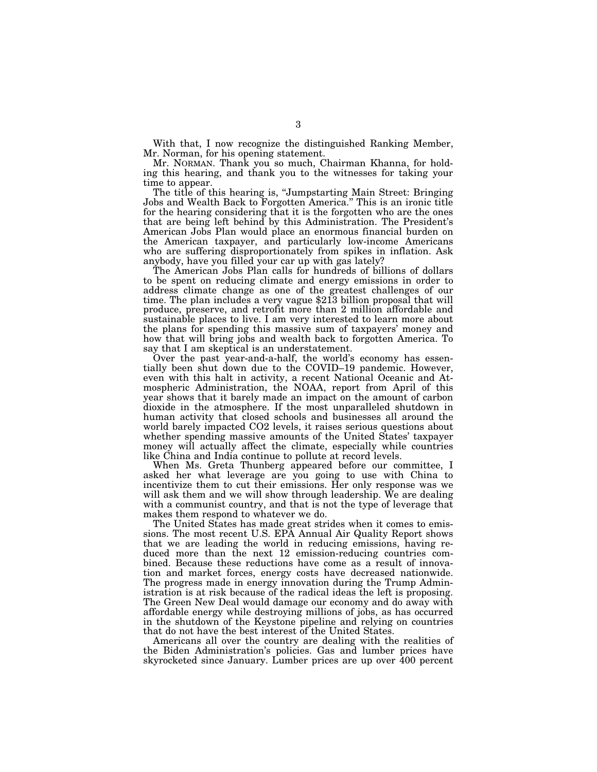With that, I now recognize the distinguished Ranking Member, Mr. Norman, for his opening statement.

Mr. NORMAN. Thank you so much, Chairman Khanna, for holding this hearing, and thank you to the witnesses for taking your time to appear.

The title of this hearing is, "Jumpstarting Main Street: Bringing Jobs and Wealth Back to Forgotten America.'' This is an ironic title for the hearing considering that it is the forgotten who are the ones that are being left behind by this Administration. The President's American Jobs Plan would place an enormous financial burden on the American taxpayer, and particularly low-income Americans who are suffering disproportionately from spikes in inflation. Ask anybody, have you filled your car up with gas lately?

The American Jobs Plan calls for hundreds of billions of dollars to be spent on reducing climate and energy emissions in order to address climate change as one of the greatest challenges of our time. The plan includes a very vague \$213 billion proposal that will produce, preserve, and retrofit more than 2 million affordable and sustainable places to live. I am very interested to learn more about the plans for spending this massive sum of taxpayers' money and how that will bring jobs and wealth back to forgotten America. To say that I am skeptical is an understatement.

Over the past year-and-a-half, the world's economy has essentially been shut down due to the COVID–19 pandemic. However, even with this halt in activity, a recent National Oceanic and Atmospheric Administration, the NOAA, report from April of this year shows that it barely made an impact on the amount of carbon dioxide in the atmosphere. If the most unparalleled shutdown in human activity that closed schools and businesses all around the world barely impacted CO2 levels, it raises serious questions about whether spending massive amounts of the United States' taxpayer money will actually affect the climate, especially while countries like China and India continue to pollute at record levels.

When Ms. Greta Thunberg appeared before our committee, I asked her what leverage are you going to use with China to incentivize them to cut their emissions. Her only response was we will ask them and we will show through leadership. We are dealing with a communist country, and that is not the type of leverage that makes them respond to whatever we do.

The United States has made great strides when it comes to emissions. The most recent U.S. EPA Annual Air Quality Report shows that we are leading the world in reducing emissions, having reduced more than the next 12 emission-reducing countries combined. Because these reductions have come as a result of innovation and market forces, energy costs have decreased nationwide. The progress made in energy innovation during the Trump Administration is at risk because of the radical ideas the left is proposing. The Green New Deal would damage our economy and do away with affordable energy while destroying millions of jobs, as has occurred in the shutdown of the Keystone pipeline and relying on countries that do not have the best interest of the United States.

Americans all over the country are dealing with the realities of the Biden Administration's policies. Gas and lumber prices have skyrocketed since January. Lumber prices are up over 400 percent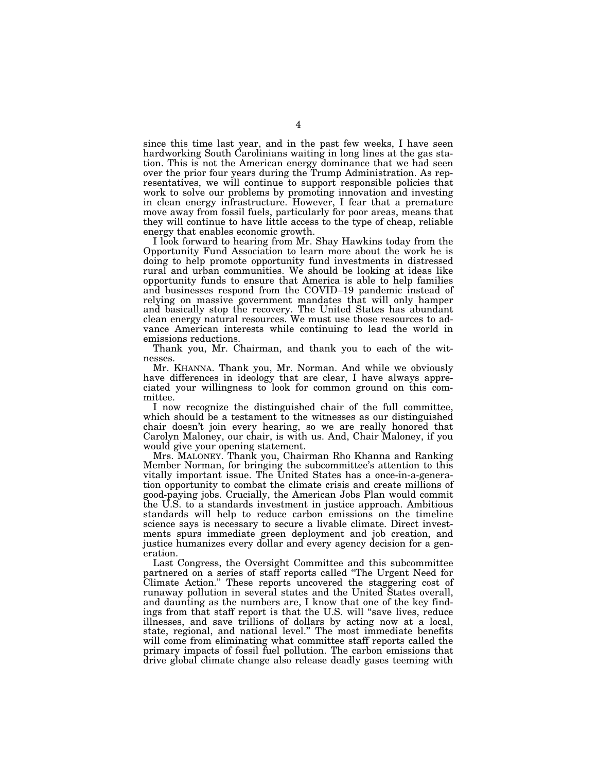since this time last year, and in the past few weeks, I have seen hardworking South Carolinians waiting in long lines at the gas station. This is not the American energy dominance that we had seen over the prior four years during the Trump Administration. As representatives, we will continue to support responsible policies that work to solve our problems by promoting innovation and investing in clean energy infrastructure. However, I fear that a premature move away from fossil fuels, particularly for poor areas, means that they will continue to have little access to the type of cheap, reliable energy that enables economic growth.

I look forward to hearing from Mr. Shay Hawkins today from the Opportunity Fund Association to learn more about the work he is doing to help promote opportunity fund investments in distressed rural and urban communities. We should be looking at ideas like opportunity funds to ensure that America is able to help families and businesses respond from the COVID–19 pandemic instead of relying on massive government mandates that will only hamper and basically stop the recovery. The United States has abundant clean energy natural resources. We must use those resources to advance American interests while continuing to lead the world in emissions reductions.

Thank you, Mr. Chairman, and thank you to each of the witnesses.

Mr. KHANNA. Thank you, Mr. Norman. And while we obviously have differences in ideology that are clear, I have always appreciated your willingness to look for common ground on this committee.

I now recognize the distinguished chair of the full committee, which should be a testament to the witnesses as our distinguished chair doesn't join every hearing, so we are really honored that Carolyn Maloney, our chair, is with us. And, Chair Maloney, if you would give your opening statement.

Mrs. MALONEY. Thank you, Chairman Rho Khanna and Ranking Member Norman, for bringing the subcommittee's attention to this vitally important issue. The United States has a once-in-a-generation opportunity to combat the climate crisis and create millions of good-paying jobs. Crucially, the American Jobs Plan would commit the U.S. to a standards investment in justice approach. Ambitious standards will help to reduce carbon emissions on the timeline science says is necessary to secure a livable climate. Direct investments spurs immediate green deployment and job creation, and justice humanizes every dollar and every agency decision for a generation.

Last Congress, the Oversight Committee and this subcommittee partnered on a series of staff reports called ''The Urgent Need for Climate Action.'' These reports uncovered the staggering cost of runaway pollution in several states and the United States overall, and daunting as the numbers are, I know that one of the key findings from that staff report is that the U.S. will "save lives, reduce illnesses, and save trillions of dollars by acting now at a local, state, regional, and national level.'' The most immediate benefits will come from eliminating what committee staff reports called the primary impacts of fossil fuel pollution. The carbon emissions that drive global climate change also release deadly gases teeming with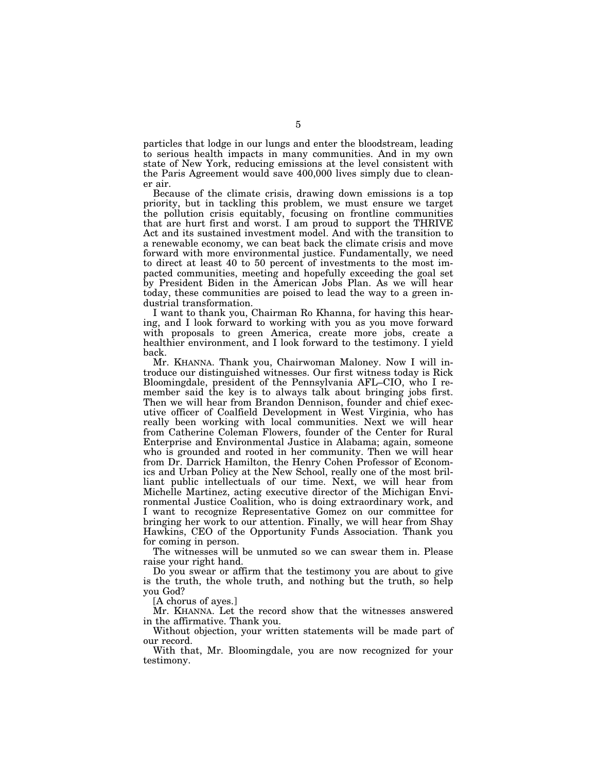particles that lodge in our lungs and enter the bloodstream, leading to serious health impacts in many communities. And in my own state of New York, reducing emissions at the level consistent with the Paris Agreement would save 400,000 lives simply due to cleaner air.

Because of the climate crisis, drawing down emissions is a top priority, but in tackling this problem, we must ensure we target the pollution crisis equitably, focusing on frontline communities that are hurt first and worst. I am proud to support the THRIVE Act and its sustained investment model. And with the transition to a renewable economy, we can beat back the climate crisis and move forward with more environmental justice. Fundamentally, we need to direct at least 40 to 50 percent of investments to the most impacted communities, meeting and hopefully exceeding the goal set by President Biden in the American Jobs Plan. As we will hear today, these communities are poised to lead the way to a green industrial transformation.

I want to thank you, Chairman Ro Khanna, for having this hearing, and I look forward to working with you as you move forward with proposals to green America, create more jobs, create a healthier environment, and I look forward to the testimony. I yield back.

Mr. KHANNA. Thank you, Chairwoman Maloney. Now I will introduce our distinguished witnesses. Our first witness today is Rick Bloomingdale, president of the Pennsylvania AFL–CIO, who I remember said the key is to always talk about bringing jobs first. Then we will hear from Brandon Dennison, founder and chief executive officer of Coalfield Development in West Virginia, who has really been working with local communities. Next we will hear from Catherine Coleman Flowers, founder of the Center for Rural Enterprise and Environmental Justice in Alabama; again, someone who is grounded and rooted in her community. Then we will hear from Dr. Darrick Hamilton, the Henry Cohen Professor of Economics and Urban Policy at the New School, really one of the most brilliant public intellectuals of our time. Next, we will hear from Michelle Martinez, acting executive director of the Michigan Environmental Justice Coalition, who is doing extraordinary work, and I want to recognize Representative Gomez on our committee for bringing her work to our attention. Finally, we will hear from Shay Hawkins, CEO of the Opportunity Funds Association. Thank you for coming in person.

The witnesses will be unmuted so we can swear them in. Please raise your right hand.

Do you swear or affirm that the testimony you are about to give is the truth, the whole truth, and nothing but the truth, so help you God?

[A chorus of ayes.]

Mr. KHANNA. Let the record show that the witnesses answered in the affirmative. Thank you.

Without objection, your written statements will be made part of our record.

With that, Mr. Bloomingdale, you are now recognized for your testimony.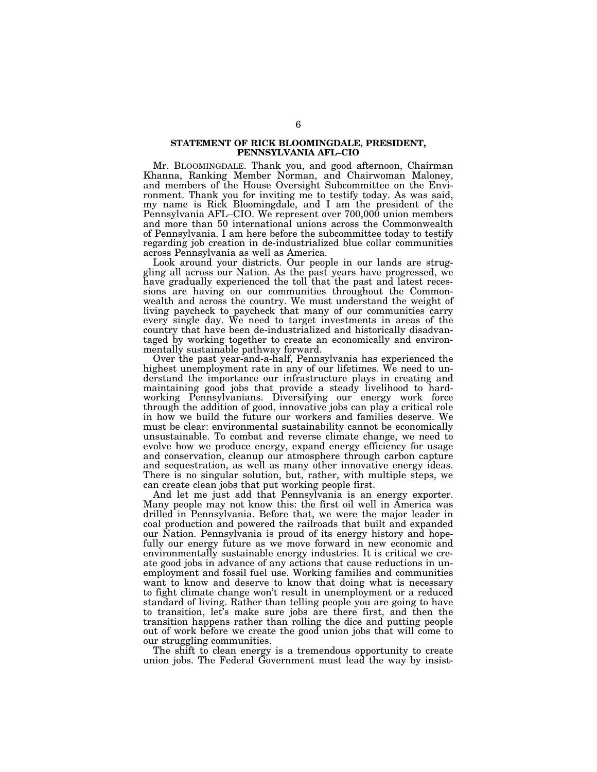### **STATEMENT OF RICK BLOOMINGDALE, PRESIDENT, PENNSYLVANIA AFL–CIO**

Mr. BLOOMINGDALE. Thank you, and good afternoon, Chairman Khanna, Ranking Member Norman, and Chairwoman Maloney, and members of the House Oversight Subcommittee on the Environment. Thank you for inviting me to testify today. As was said, my name is Rick Bloomingdale, and I am the president of the Pennsylvania AFL–CIO. We represent over 700,000 union members and more than 50 international unions across the Commonwealth of Pennsylvania. I am here before the subcommittee today to testify regarding job creation in de-industrialized blue collar communities across Pennsylvania as well as America.

Look around your districts. Our people in our lands are struggling all across our Nation. As the past years have progressed, we have gradually experienced the toll that the past and latest recessions are having on our communities throughout the Commonwealth and across the country. We must understand the weight of living paycheck to paycheck that many of our communities carry every single day. We need to target investments in areas of the country that have been de-industrialized and historically disadvantaged by working together to create an economically and environmentally sustainable pathway forward.

Over the past year-and-a-half, Pennsylvania has experienced the highest unemployment rate in any of our lifetimes. We need to understand the importance our infrastructure plays in creating and maintaining good jobs that provide a steady livelihood to hardworking Pennsylvanians. Diversifying our energy work force through the addition of good, innovative jobs can play a critical role in how we build the future our workers and families deserve. We must be clear: environmental sustainability cannot be economically unsustainable. To combat and reverse climate change, we need to evolve how we produce energy, expand energy efficiency for usage and conservation, cleanup our atmosphere through carbon capture and sequestration, as well as many other innovative energy ideas. There is no singular solution, but, rather, with multiple steps, we can create clean jobs that put working people first.

And let me just add that Pennsylvania is an energy exporter. Many people may not know this: the first oil well in America was drilled in Pennsylvania. Before that, we were the major leader in coal production and powered the railroads that built and expanded our Nation. Pennsylvania is proud of its energy history and hopefully our energy future as we move forward in new economic and environmentally sustainable energy industries. It is critical we create good jobs in advance of any actions that cause reductions in unemployment and fossil fuel use. Working families and communities want to know and deserve to know that doing what is necessary to fight climate change won't result in unemployment or a reduced standard of living. Rather than telling people you are going to have to transition, let's make sure jobs are there first, and then the transition happens rather than rolling the dice and putting people out of work before we create the good union jobs that will come to our struggling communities.

The shift to clean energy is a tremendous opportunity to create union jobs. The Federal Government must lead the way by insist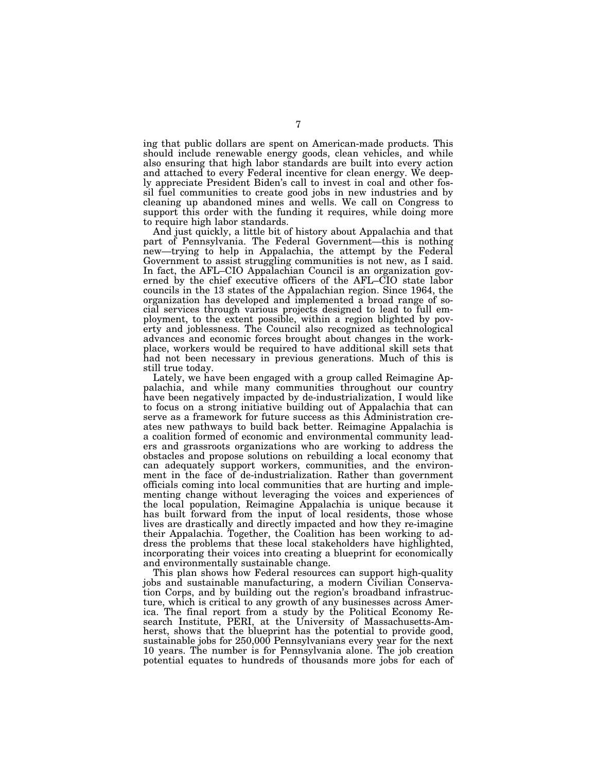ing that public dollars are spent on American-made products. This should include renewable energy goods, clean vehicles, and while also ensuring that high labor standards are built into every action and attached to every Federal incentive for clean energy. We deeply appreciate President Biden's call to invest in coal and other fossil fuel communities to create good jobs in new industries and by cleaning up abandoned mines and wells. We call on Congress to support this order with the funding it requires, while doing more to require high labor standards.

And just quickly, a little bit of history about Appalachia and that part of Pennsylvania. The Federal Government—this is nothing new—trying to help in Appalachia, the attempt by the Federal Government to assist struggling communities is not new, as I said. In fact, the AFL–CIO Appalachian Council is an organization governed by the chief executive officers of the AFL–CIO state labor councils in the 13 states of the Appalachian region. Since 1964, the organization has developed and implemented a broad range of social services through various projects designed to lead to full employment, to the extent possible, within a region blighted by poverty and joblessness. The Council also recognized as technological advances and economic forces brought about changes in the workplace, workers would be required to have additional skill sets that had not been necessary in previous generations. Much of this is still true today.

Lately, we have been engaged with a group called Reimagine Appalachia, and while many communities throughout our country have been negatively impacted by de-industrialization, I would like to focus on a strong initiative building out of Appalachia that can serve as a framework for future success as this Administration creates new pathways to build back better. Reimagine Appalachia is a coalition formed of economic and environmental community leaders and grassroots organizations who are working to address the obstacles and propose solutions on rebuilding a local economy that can adequately support workers, communities, and the environment in the face of de-industrialization. Rather than government officials coming into local communities that are hurting and implementing change without leveraging the voices and experiences of the local population, Reimagine Appalachia is unique because it has built forward from the input of local residents, those whose lives are drastically and directly impacted and how they re-imagine their Appalachia. Together, the Coalition has been working to address the problems that these local stakeholders have highlighted, incorporating their voices into creating a blueprint for economically and environmentally sustainable change.

This plan shows how Federal resources can support high-quality jobs and sustainable manufacturing, a modern Civilian Conservation Corps, and by building out the region's broadband infrastructure, which is critical to any growth of any businesses across America. The final report from a study by the Political Economy Research Institute, PERI, at the University of Massachusetts-Amherst, shows that the blueprint has the potential to provide good, sustainable jobs for 250,000 Pennsylvanians every year for the next 10 years. The number is for Pennsylvania alone. The job creation potential equates to hundreds of thousands more jobs for each of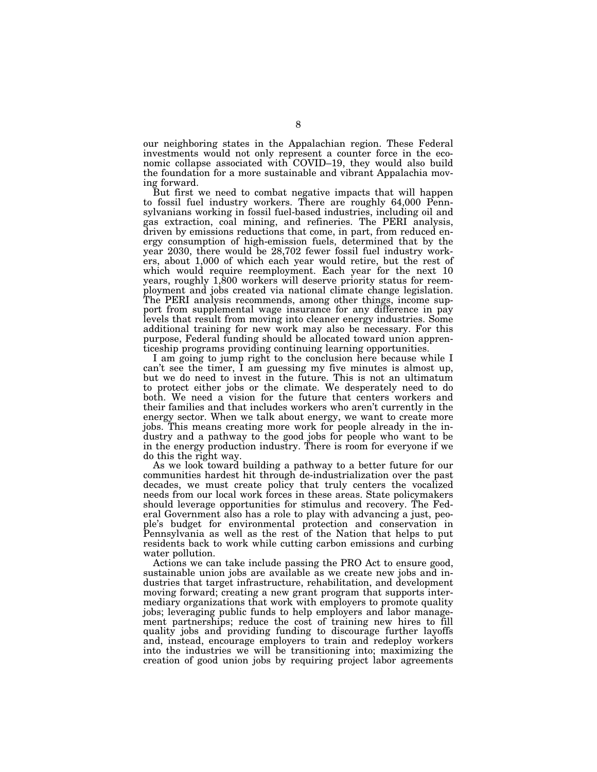our neighboring states in the Appalachian region. These Federal investments would not only represent a counter force in the economic collapse associated with COVID–19, they would also build the foundation for a more sustainable and vibrant Appalachia moving forward.

But first we need to combat negative impacts that will happen to fossil fuel industry workers. There are roughly 64,000 Pennsylvanians working in fossil fuel-based industries, including oil and gas extraction, coal mining, and refineries. The PERI analysis, driven by emissions reductions that come, in part, from reduced energy consumption of high-emission fuels, determined that by the year 2030, there would be 28,702 fewer fossil fuel industry workers, about 1,000 of which each year would retire, but the rest of which would require reemployment. Each year for the next 10 years, roughly 1,800 workers will deserve priority status for reemployment and jobs created via national climate change legislation. The PERI analysis recommends, among other things, income support from supplemental wage insurance for any difference in pay levels that result from moving into cleaner energy industries. Some additional training for new work may also be necessary. For this purpose, Federal funding should be allocated toward union apprenticeship programs providing continuing learning opportunities.

I am going to jump right to the conclusion here because while I can't see the timer, I am guessing my five minutes is almost up, but we do need to invest in the future. This is not an ultimatum to protect either jobs or the climate. We desperately need to do both. We need a vision for the future that centers workers and their families and that includes workers who aren't currently in the energy sector. When we talk about energy, we want to create more jobs. This means creating more work for people already in the industry and a pathway to the good jobs for people who want to be in the energy production industry. There is room for everyone if we do this the right way.

As we look toward building a pathway to a better future for our communities hardest hit through de-industrialization over the past decades, we must create policy that truly centers the vocalized needs from our local work forces in these areas. State policymakers should leverage opportunities for stimulus and recovery. The Federal Government also has a role to play with advancing a just, people's budget for environmental protection and conservation in Pennsylvania as well as the rest of the Nation that helps to put residents back to work while cutting carbon emissions and curbing water pollution.

Actions we can take include passing the PRO Act to ensure good, sustainable union jobs are available as we create new jobs and industries that target infrastructure, rehabilitation, and development moving forward; creating a new grant program that supports intermediary organizations that work with employers to promote quality jobs; leveraging public funds to help employers and labor management partnerships; reduce the cost of training new hires to fill quality jobs and providing funding to discourage further layoffs and, instead, encourage employers to train and redeploy workers into the industries we will be transitioning into; maximizing the creation of good union jobs by requiring project labor agreements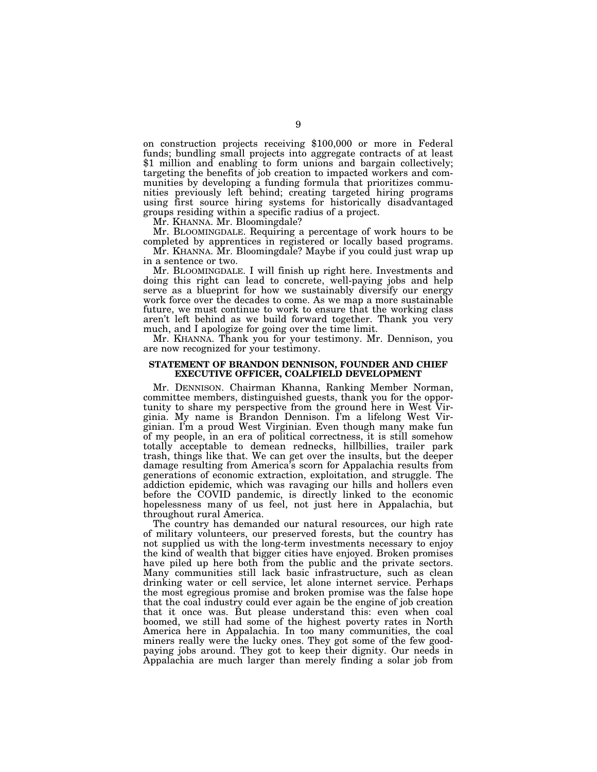on construction projects receiving \$100,000 or more in Federal funds; bundling small projects into aggregate contracts of at least \$1 million and enabling to form unions and bargain collectively; targeting the benefits of job creation to impacted workers and communities by developing a funding formula that prioritizes communities previously left behind; creating targeted hiring programs using first source hiring systems for historically disadvantaged groups residing within a specific radius of a project.

Mr. KHANNA. Mr. Bloomingdale?

Mr. BLOOMINGDALE. Requiring a percentage of work hours to be completed by apprentices in registered or locally based programs.

Mr. KHANNA. Mr. Bloomingdale? Maybe if you could just wrap up in a sentence or two.

Mr. BLOOMINGDALE. I will finish up right here. Investments and doing this right can lead to concrete, well-paying jobs and help serve as a blueprint for how we sustainably diversify our energy work force over the decades to come. As we map a more sustainable future, we must continue to work to ensure that the working class aren't left behind as we build forward together. Thank you very much, and I apologize for going over the time limit.

Mr. KHANNA. Thank you for your testimony. Mr. Dennison, you are now recognized for your testimony.

### **STATEMENT OF BRANDON DENNISON, FOUNDER AND CHIEF EXECUTIVE OFFICER, COALFIELD DEVELOPMENT**

Mr. DENNISON. Chairman Khanna, Ranking Member Norman, committee members, distinguished guests, thank you for the opportunity to share my perspective from the ground here in West Virginia. My name is Brandon Dennison. I'm a lifelong West Virginian. I'm a proud West Virginian. Even though many make fun of my people, in an era of political correctness, it is still somehow totally acceptable to demean rednecks, hillbillies, trailer park trash, things like that. We can get over the insults, but the deeper damage resulting from America's scorn for Appalachia results from generations of economic extraction, exploitation, and struggle. The addiction epidemic, which was ravaging our hills and hollers even before the COVID pandemic, is directly linked to the economic hopelessness many of us feel, not just here in Appalachia, but throughout rural America.

The country has demanded our natural resources, our high rate of military volunteers, our preserved forests, but the country has not supplied us with the long-term investments necessary to enjoy the kind of wealth that bigger cities have enjoyed. Broken promises have piled up here both from the public and the private sectors. Many communities still lack basic infrastructure, such as clean drinking water or cell service, let alone internet service. Perhaps the most egregious promise and broken promise was the false hope that the coal industry could ever again be the engine of job creation that it once was. But please understand this: even when coal boomed, we still had some of the highest poverty rates in North America here in Appalachia. In too many communities, the coal miners really were the lucky ones. They got some of the few goodpaying jobs around. They got to keep their dignity. Our needs in Appalachia are much larger than merely finding a solar job from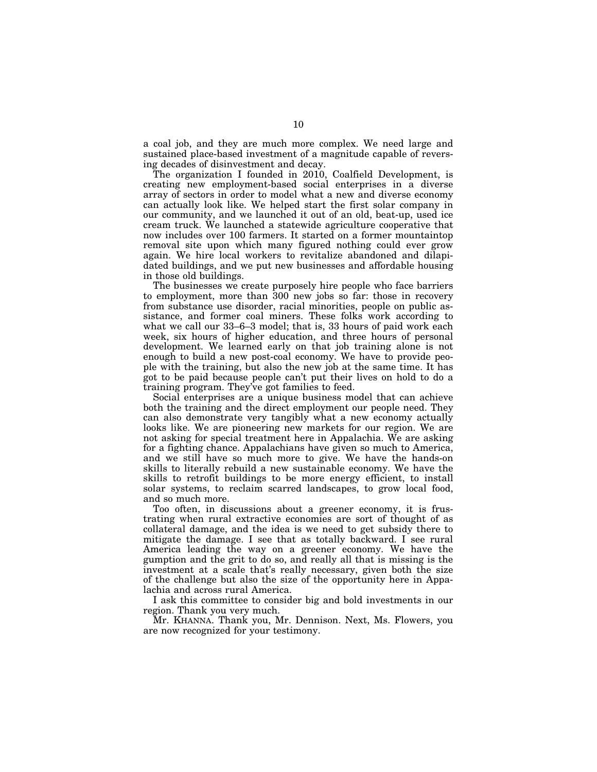a coal job, and they are much more complex. We need large and sustained place-based investment of a magnitude capable of reversing decades of disinvestment and decay.

The organization I founded in 2010, Coalfield Development, is creating new employment-based social enterprises in a diverse array of sectors in order to model what a new and diverse economy can actually look like. We helped start the first solar company in our community, and we launched it out of an old, beat-up, used ice cream truck. We launched a statewide agriculture cooperative that now includes over 100 farmers. It started on a former mountaintop removal site upon which many figured nothing could ever grow again. We hire local workers to revitalize abandoned and dilapidated buildings, and we put new businesses and affordable housing in those old buildings.

The businesses we create purposely hire people who face barriers to employment, more than 300 new jobs so far: those in recovery from substance use disorder, racial minorities, people on public assistance, and former coal miners. These folks work according to what we call our 33–6–3 model; that is, 33 hours of paid work each week, six hours of higher education, and three hours of personal development. We learned early on that job training alone is not enough to build a new post-coal economy. We have to provide people with the training, but also the new job at the same time. It has got to be paid because people can't put their lives on hold to do a training program. They've got families to feed.

Social enterprises are a unique business model that can achieve both the training and the direct employment our people need. They can also demonstrate very tangibly what a new economy actually looks like. We are pioneering new markets for our region. We are not asking for special treatment here in Appalachia. We are asking for a fighting chance. Appalachians have given so much to America, and we still have so much more to give. We have the hands-on skills to literally rebuild a new sustainable economy. We have the skills to retrofit buildings to be more energy efficient, to install solar systems, to reclaim scarred landscapes, to grow local food, and so much more.

Too often, in discussions about a greener economy, it is frustrating when rural extractive economies are sort of thought of as collateral damage, and the idea is we need to get subsidy there to mitigate the damage. I see that as totally backward. I see rural America leading the way on a greener economy. We have the gumption and the grit to do so, and really all that is missing is the investment at a scale that's really necessary, given both the size of the challenge but also the size of the opportunity here in Appalachia and across rural America.

I ask this committee to consider big and bold investments in our region. Thank you very much.

Mr. KHANNA. Thank you, Mr. Dennison. Next, Ms. Flowers, you are now recognized for your testimony.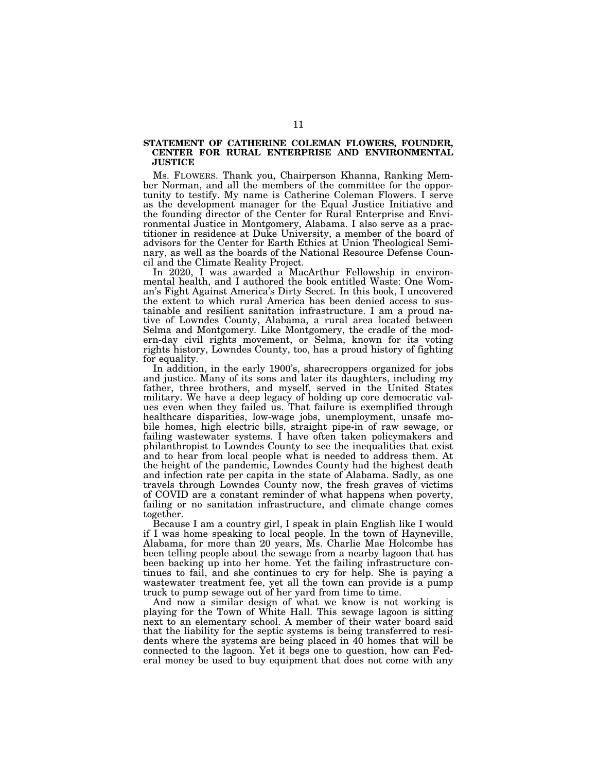### **STATEMENT OF CATHERINE COLEMAN FLOWERS, FOUNDER, CENTER FOR RURAL ENTERPRISE AND ENVIRONMENTAL JUSTICE**

Ms. FLOWERS. Thank you, Chairperson Khanna, Ranking Member Norman, and all the members of the committee for the opportunity to testify. My name is Catherine Coleman Flowers. I serve as the development manager for the Equal Justice Initiative and the founding director of the Center for Rural Enterprise and Environmental Justice in Montgomery, Alabama. I also serve as a practitioner in residence at Duke University, a member of the board of advisors for the Center for Earth Ethics at Union Theological Seminary, as well as the boards of the National Resource Defense Council and the Climate Reality Project.

In 2020, I was awarded a MacArthur Fellowship in environmental health, and I authored the book entitled Waste: One Woman's Fight Against America's Dirty Secret. In this book, I uncovered the extent to which rural America has been denied access to sustainable and resilient sanitation infrastructure. I am a proud native of Lowndes County, Alabama, a rural area located between Selma and Montgomery. Like Montgomery, the cradle of the modern-day civil rights movement, or Selma, known for its voting rights history, Lowndes County, too, has a proud history of fighting for equality.

In addition, in the early 1900's, sharecroppers organized for jobs and justice. Many of its sons and later its daughters, including my father, three brothers, and myself, served in the United States military. We have a deep legacy of holding up core democratic values even when they failed us. That failure is exemplified through healthcare disparities, low-wage jobs, unemployment, unsafe mobile homes, high electric bills, straight pipe-in of raw sewage, or failing wastewater systems. I have often taken policymakers and philanthropist to Lowndes County to see the inequalities that exist and to hear from local people what is needed to address them. At the height of the pandemic, Lowndes County had the highest death and infection rate per capita in the state of Alabama. Sadly, as one travels through Lowndes County now, the fresh graves of victims of COVID are a constant reminder of what happens when poverty, failing or no sanitation infrastructure, and climate change comes together.

Because I am a country girl, I speak in plain English like I would if I was home speaking to local people. In the town of Hayneville, Alabama, for more than 20 years, Ms. Charlie Mae Holcombe has been telling people about the sewage from a nearby lagoon that has been backing up into her home. Yet the failing infrastructure continues to fail, and she continues to cry for help. She is paying a wastewater treatment fee, yet all the town can provide is a pump truck to pump sewage out of her yard from time to time.

And now a similar design of what we know is not working is playing for the Town of White Hall. This sewage lagoon is sitting next to an elementary school. A member of their water board said that the liability for the septic systems is being transferred to residents where the systems are being placed in 40 homes that will be connected to the lagoon. Yet it begs one to question, how can Federal money be used to buy equipment that does not come with any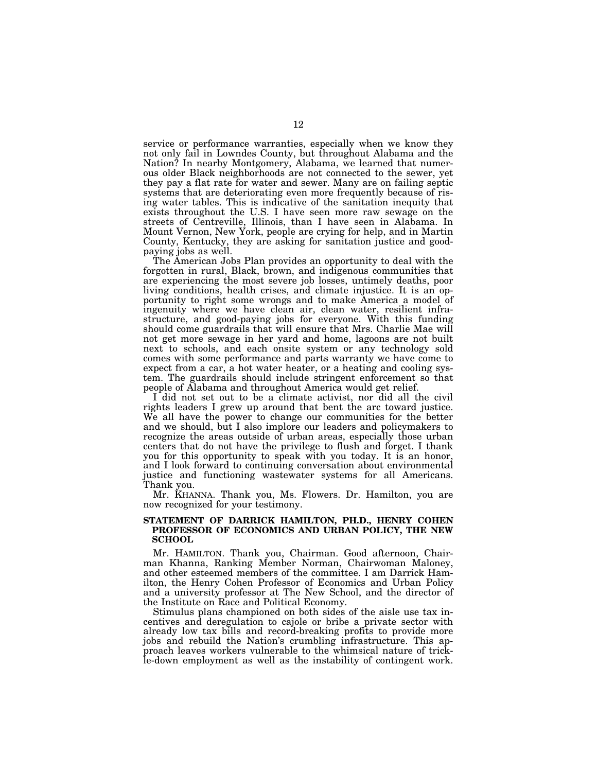service or performance warranties, especially when we know they not only fail in Lowndes County, but throughout Alabama and the Nation? In nearby Montgomery, Alabama, we learned that numerous older Black neighborhoods are not connected to the sewer, yet they pay a flat rate for water and sewer. Many are on failing septic systems that are deteriorating even more frequently because of rising water tables. This is indicative of the sanitation inequity that exists throughout the U.S. I have seen more raw sewage on the streets of Centreville, Illinois, than I have seen in Alabama. In Mount Vernon, New York, people are crying for help, and in Martin County, Kentucky, they are asking for sanitation justice and goodpaying jobs as well.

The American Jobs Plan provides an opportunity to deal with the forgotten in rural, Black, brown, and indigenous communities that are experiencing the most severe job losses, untimely deaths, poor living conditions, health crises, and climate injustice. It is an opportunity to right some wrongs and to make America a model of ingenuity where we have clean air, clean water, resilient infrastructure, and good-paying jobs for everyone. With this funding should come guardrails that will ensure that Mrs. Charlie Mae will not get more sewage in her yard and home, lagoons are not built next to schools, and each onsite system or any technology sold comes with some performance and parts warranty we have come to expect from a car, a hot water heater, or a heating and cooling system. The guardrails should include stringent enforcement so that people of Alabama and throughout America would get relief.

I did not set out to be a climate activist, nor did all the civil rights leaders I grew up around that bent the arc toward justice. We all have the power to change our communities for the better and we should, but I also implore our leaders and policymakers to recognize the areas outside of urban areas, especially those urban centers that do not have the privilege to flush and forget. I thank you for this opportunity to speak with you today. It is an honor, and I look forward to continuing conversation about environmental justice and functioning wastewater systems for all Americans. Thank you.

Mr. KHANNA. Thank you, Ms. Flowers. Dr. Hamilton, you are now recognized for your testimony.

### **STATEMENT OF DARRICK HAMILTON, PH.D., HENRY COHEN PROFESSOR OF ECONOMICS AND URBAN POLICY, THE NEW SCHOOL**

Mr. HAMILTON. Thank you, Chairman. Good afternoon, Chairman Khanna, Ranking Member Norman, Chairwoman Maloney, and other esteemed members of the committee. I am Darrick Hamilton, the Henry Cohen Professor of Economics and Urban Policy and a university professor at The New School, and the director of the Institute on Race and Political Economy.

Stimulus plans championed on both sides of the aisle use tax incentives and deregulation to cajole or bribe a private sector with already low tax bills and record-breaking profits to provide more jobs and rebuild the Nation's crumbling infrastructure. This approach leaves workers vulnerable to the whimsical nature of trickle-down employment as well as the instability of contingent work.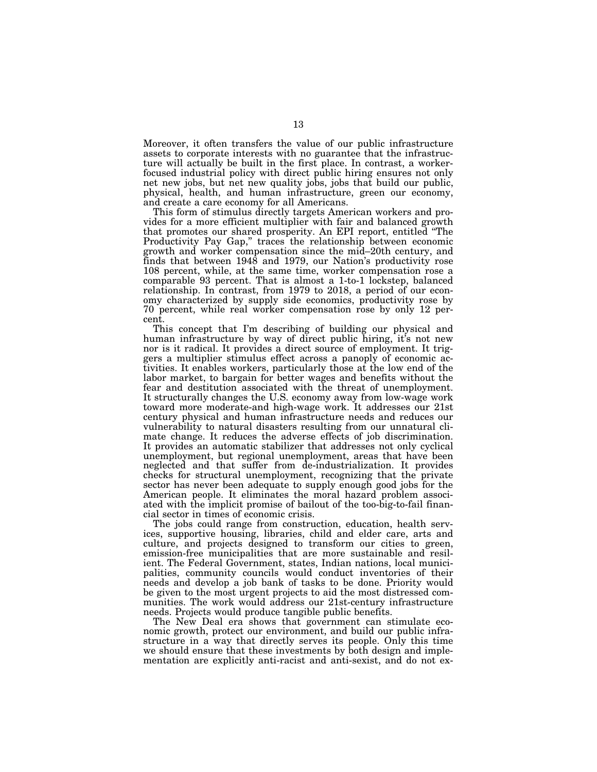Moreover, it often transfers the value of our public infrastructure assets to corporate interests with no guarantee that the infrastructure will actually be built in the first place. In contrast, a workerfocused industrial policy with direct public hiring ensures not only net new jobs, but net new quality jobs, jobs that build our public, physical, health, and human infrastructure, green our economy, and create a care economy for all Americans.

This form of stimulus directly targets American workers and provides for a more efficient multiplier with fair and balanced growth that promotes our shared prosperity. An EPI report, entitled ''The Productivity Pay Gap,'' traces the relationship between economic growth and worker compensation since the mid–20th century, and finds that between 1948 and 1979, our Nation's productivity rose 108 percent, while, at the same time, worker compensation rose a comparable 93 percent. That is almost a 1-to-1 lockstep, balanced relationship. In contrast, from 1979 to 2018, a period of our economy characterized by supply side economics, productivity rose by 70 percent, while real worker compensation rose by only 12 percent.

This concept that I'm describing of building our physical and human infrastructure by way of direct public hiring, it's not new nor is it radical. It provides a direct source of employment. It triggers a multiplier stimulus effect across a panoply of economic activities. It enables workers, particularly those at the low end of the labor market, to bargain for better wages and benefits without the fear and destitution associated with the threat of unemployment. It structurally changes the U.S. economy away from low-wage work toward more moderate-and high-wage work. It addresses our 21st century physical and human infrastructure needs and reduces our vulnerability to natural disasters resulting from our unnatural climate change. It reduces the adverse effects of job discrimination. It provides an automatic stabilizer that addresses not only cyclical unemployment, but regional unemployment, areas that have been neglected and that suffer from de-industrialization. It provides checks for structural unemployment, recognizing that the private sector has never been adequate to supply enough good jobs for the American people. It eliminates the moral hazard problem associated with the implicit promise of bailout of the too-big-to-fail financial sector in times of economic crisis.

The jobs could range from construction, education, health services, supportive housing, libraries, child and elder care, arts and culture, and projects designed to transform our cities to green, emission-free municipalities that are more sustainable and resilient. The Federal Government, states, Indian nations, local municipalities, community councils would conduct inventories of their needs and develop a job bank of tasks to be done. Priority would be given to the most urgent projects to aid the most distressed communities. The work would address our 21st-century infrastructure needs. Projects would produce tangible public benefits.

The New Deal era shows that government can stimulate economic growth, protect our environment, and build our public infrastructure in a way that directly serves its people. Only this time we should ensure that these investments by both design and implementation are explicitly anti-racist and anti-sexist, and do not ex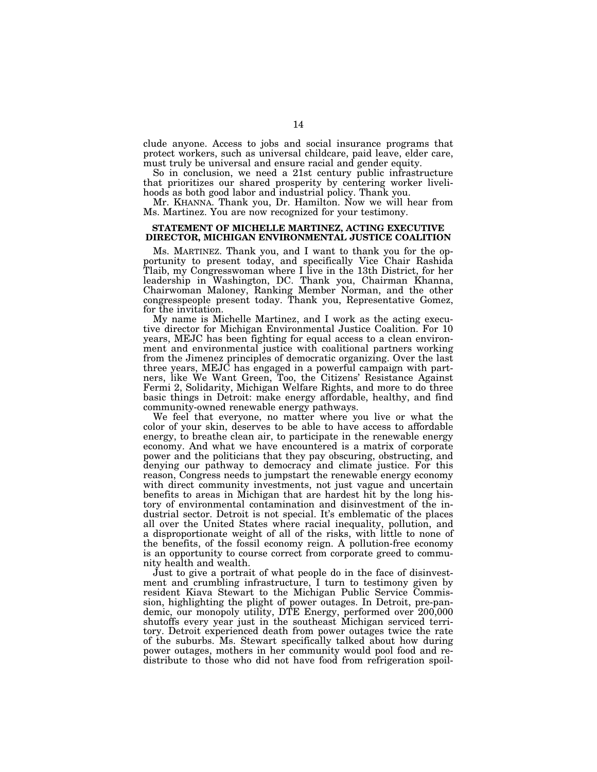clude anyone. Access to jobs and social insurance programs that protect workers, such as universal childcare, paid leave, elder care, must truly be universal and ensure racial and gender equity.

So in conclusion, we need a 21st century public infrastructure that prioritizes our shared prosperity by centering worker livelihoods as both good labor and industrial policy. Thank you.

Mr. KHANNA. Thank you, Dr. Hamilton. Now we will hear from Ms. Martinez. You are now recognized for your testimony.

### **STATEMENT OF MICHELLE MARTINEZ, ACTING EXECUTIVE DIRECTOR, MICHIGAN ENVIRONMENTAL JUSTICE COALITION**

Ms. MARTINEZ. Thank you, and I want to thank you for the opportunity to present today, and specifically Vice Chair Rashida Tlaib, my Congresswoman where I live in the 13th District, for her leadership in Washington, DC. Thank you, Chairman Khanna, Chairwoman Maloney, Ranking Member Norman, and the other congresspeople present today. Thank you, Representative Gomez, for the invitation.

My name is Michelle Martinez, and I work as the acting executive director for Michigan Environmental Justice Coalition. For 10 years, MEJC has been fighting for equal access to a clean environment and environmental justice with coalitional partners working from the Jimenez principles of democratic organizing. Over the last three years, MEJC has engaged in a powerful campaign with partners, like We Want Green, Too, the Citizens' Resistance Against Fermi 2, Solidarity, Michigan Welfare Rights, and more to do three basic things in Detroit: make energy affordable, healthy, and find community-owned renewable energy pathways.

We feel that everyone, no matter where you live or what the color of your skin, deserves to be able to have access to affordable energy, to breathe clean air, to participate in the renewable energy economy. And what we have encountered is a matrix of corporate power and the politicians that they pay obscuring, obstructing, and denying our pathway to democracy and climate justice. For this reason, Congress needs to jumpstart the renewable energy economy with direct community investments, not just vague and uncertain benefits to areas in Michigan that are hardest hit by the long history of environmental contamination and disinvestment of the industrial sector. Detroit is not special. It's emblematic of the places all over the United States where racial inequality, pollution, and a disproportionate weight of all of the risks, with little to none of the benefits, of the fossil economy reign. A pollution-free economy is an opportunity to course correct from corporate greed to community health and wealth.

Just to give a portrait of what people do in the face of disinvestment and crumbling infrastructure, I turn to testimony given by resident Kiava Stewart to the Michigan Public Service Commission, highlighting the plight of power outages. In Detroit, pre-pandemic, our monopoly utility, DTE Energy, performed over 200,000 shutoffs every year just in the southeast Michigan serviced territory. Detroit experienced death from power outages twice the rate of the suburbs. Ms. Stewart specifically talked about how during power outages, mothers in her community would pool food and redistribute to those who did not have food from refrigeration spoil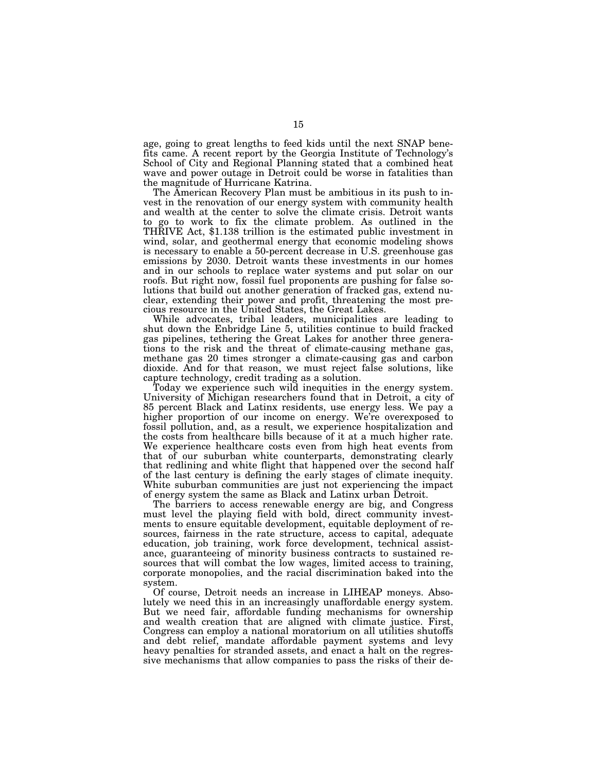age, going to great lengths to feed kids until the next SNAP benefits came. A recent report by the Georgia Institute of Technology's School of City and Regional Planning stated that a combined heat wave and power outage in Detroit could be worse in fatalities than the magnitude of Hurricane Katrina.

The American Recovery Plan must be ambitious in its push to invest in the renovation of our energy system with community health and wealth at the center to solve the climate crisis. Detroit wants to go to work to fix the climate problem. As outlined in the THRIVE Act, \$1.138 trillion is the estimated public investment in wind, solar, and geothermal energy that economic modeling shows is necessary to enable a 50-percent decrease in U.S. greenhouse gas emissions by 2030. Detroit wants these investments in our homes and in our schools to replace water systems and put solar on our roofs. But right now, fossil fuel proponents are pushing for false solutions that build out another generation of fracked gas, extend nuclear, extending their power and profit, threatening the most precious resource in the United States, the Great Lakes.

While advocates, tribal leaders, municipalities are leading to shut down the Enbridge Line 5, utilities continue to build fracked gas pipelines, tethering the Great Lakes for another three generations to the risk and the threat of climate-causing methane gas, methane gas 20 times stronger a climate-causing gas and carbon dioxide. And for that reason, we must reject false solutions, like capture technology, credit trading as a solution.

Today we experience such wild inequities in the energy system. University of Michigan researchers found that in Detroit, a city of 85 percent Black and Latinx residents, use energy less. We pay a higher proportion of our income on energy. We're overexposed to fossil pollution, and, as a result, we experience hospitalization and the costs from healthcare bills because of it at a much higher rate. We experience healthcare costs even from high heat events from that of our suburban white counterparts, demonstrating clearly that redlining and white flight that happened over the second half of the last century is defining the early stages of climate inequity. White suburban communities are just not experiencing the impact of energy system the same as Black and Latinx urban Detroit.

The barriers to access renewable energy are big, and Congress must level the playing field with bold, direct community investments to ensure equitable development, equitable deployment of resources, fairness in the rate structure, access to capital, adequate education, job training, work force development, technical assistance, guaranteeing of minority business contracts to sustained resources that will combat the low wages, limited access to training, corporate monopolies, and the racial discrimination baked into the system.

Of course, Detroit needs an increase in LIHEAP moneys. Absolutely we need this in an increasingly unaffordable energy system. But we need fair, affordable funding mechanisms for ownership and wealth creation that are aligned with climate justice. First, Congress can employ a national moratorium on all utilities shutoffs and debt relief, mandate affordable payment systems and levy heavy penalties for stranded assets, and enact a halt on the regressive mechanisms that allow companies to pass the risks of their de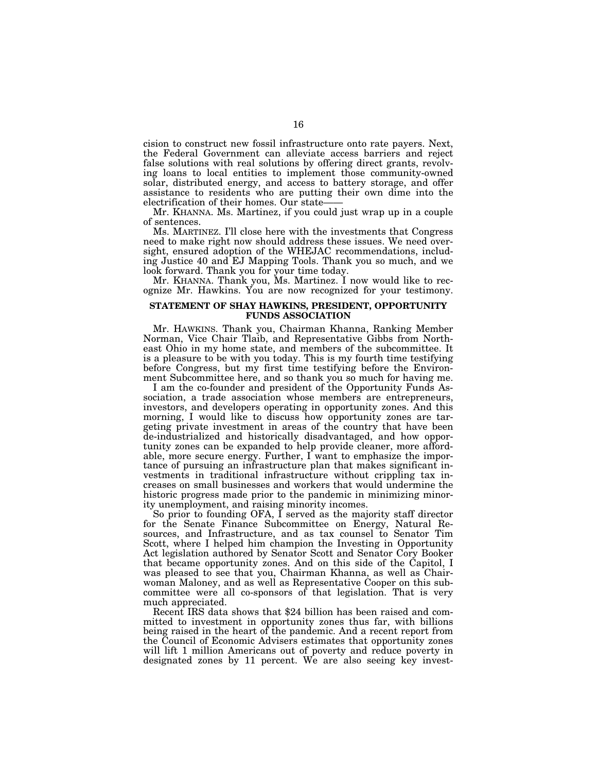cision to construct new fossil infrastructure onto rate payers. Next, the Federal Government can alleviate access barriers and reject false solutions with real solutions by offering direct grants, revolving loans to local entities to implement those community-owned solar, distributed energy, and access to battery storage, and offer assistance to residents who are putting their own dime into the electrification of their homes. Our state——

Mr. KHANNA. Ms. Martinez, if you could just wrap up in a couple of sentences.

Ms. MARTINEZ. I'll close here with the investments that Congress need to make right now should address these issues. We need oversight, ensured adoption of the WHEJAC recommendations, including Justice 40 and EJ Mapping Tools. Thank you so much, and we look forward. Thank you for your time today.

Mr. KHANNA. Thank you, Ms. Martinez. I now would like to recognize Mr. Hawkins. You are now recognized for your testimony.

### **STATEMENT OF SHAY HAWKINS, PRESIDENT, OPPORTUNITY FUNDS ASSOCIATION**

Mr. HAWKINS. Thank you, Chairman Khanna, Ranking Member Norman, Vice Chair Tlaib, and Representative Gibbs from Northeast Ohio in my home state, and members of the subcommittee. It is a pleasure to be with you today. This is my fourth time testifying before Congress, but my first time testifying before the Environment Subcommittee here, and so thank you so much for having me.

I am the co-founder and president of the Opportunity Funds Association, a trade association whose members are entrepreneurs, investors, and developers operating in opportunity zones. And this morning, I would like to discuss how opportunity zones are targeting private investment in areas of the country that have been de-industrialized and historically disadvantaged, and how opportunity zones can be expanded to help provide cleaner, more affordable, more secure energy. Further, I want to emphasize the importance of pursuing an infrastructure plan that makes significant investments in traditional infrastructure without crippling tax increases on small businesses and workers that would undermine the historic progress made prior to the pandemic in minimizing minority unemployment, and raising minority incomes.

So prior to founding OFA, I served as the majority staff director for the Senate Finance Subcommittee on Energy, Natural Resources, and Infrastructure, and as tax counsel to Senator Tim Scott, where I helped him champion the Investing in Opportunity Act legislation authored by Senator Scott and Senator Cory Booker that became opportunity zones. And on this side of the Capitol, I was pleased to see that you, Chairman Khanna, as well as Chairwoman Maloney, and as well as Representative Cooper on this subcommittee were all co-sponsors of that legislation. That is very

Recent IRS data shows that \$24 billion has been raised and committed to investment in opportunity zones thus far, with billions being raised in the heart of the pandemic. And a recent report from the Council of Economic Advisers estimates that opportunity zones will lift 1 million Americans out of poverty and reduce poverty in designated zones by 11 percent. We are also seeing key invest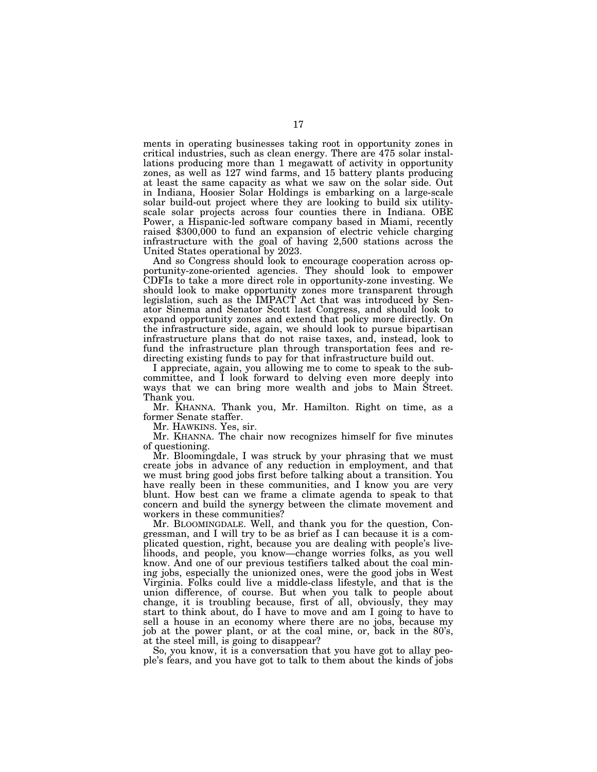ments in operating businesses taking root in opportunity zones in critical industries, such as clean energy. There are 475 solar installations producing more than 1 megawatt of activity in opportunity zones, as well as 127 wind farms, and 15 battery plants producing at least the same capacity as what we saw on the solar side. Out in Indiana, Hoosier Solar Holdings is embarking on a large-scale solar build-out project where they are looking to build six utilityscale solar projects across four counties there in Indiana. OBE Power, a Hispanic-led software company based in Miami, recently raised \$300,000 to fund an expansion of electric vehicle charging infrastructure with the goal of having 2,500 stations across the United States operational by 2023.

And so Congress should look to encourage cooperation across opportunity-zone-oriented agencies. They should look to empower CDFIs to take a more direct role in opportunity-zone investing. We should look to make opportunity zones more transparent through legislation, such as the IMPACT Act that was introduced by Senator Sinema and Senator Scott last Congress, and should look to expand opportunity zones and extend that policy more directly. On the infrastructure side, again, we should look to pursue bipartisan infrastructure plans that do not raise taxes, and, instead, look to fund the infrastructure plan through transportation fees and redirecting existing funds to pay for that infrastructure build out.

I appreciate, again, you allowing me to come to speak to the subcommittee, and I look forward to delving even more deeply into ways that we can bring more wealth and jobs to Main Street. Thank you.

Mr. KHANNA. Thank you, Mr. Hamilton. Right on time, as a former Senate staffer.

Mr. HAWKINS. Yes, sir.

Mr. KHANNA. The chair now recognizes himself for five minutes of questioning.

Mr. Bloomingdale, I was struck by your phrasing that we must create jobs in advance of any reduction in employment, and that we must bring good jobs first before talking about a transition. You have really been in these communities, and I know you are very blunt. How best can we frame a climate agenda to speak to that concern and build the synergy between the climate movement and workers in these communities?

Mr. BLOOMINGDALE. Well, and thank you for the question, Congressman, and I will try to be as brief as I can because it is a complicated question, right, because you are dealing with people's livelihoods, and people, you know—change worries folks, as you well know. And one of our previous testifiers talked about the coal mining jobs, especially the unionized ones, were the good jobs in West Virginia. Folks could live a middle-class lifestyle, and that is the union difference, of course. But when you talk to people about change, it is troubling because, first of all, obviously, they may start to think about, do I have to move and am I going to have to sell a house in an economy where there are no jobs, because my job at the power plant, or at the coal mine, or, back in the 80's, at the steel mill, is going to disappear?

So, you know, it is a conversation that you have got to allay people's fears, and you have got to talk to them about the kinds of jobs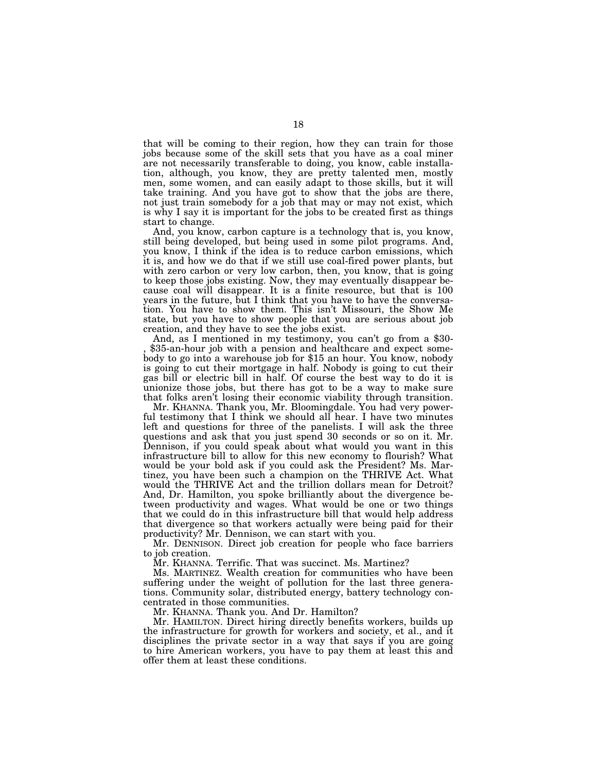that will be coming to their region, how they can train for those jobs because some of the skill sets that you have as a coal miner are not necessarily transferable to doing, you know, cable installation, although, you know, they are pretty talented men, mostly men, some women, and can easily adapt to those skills, but it will take training. And you have got to show that the jobs are there, not just train somebody for a job that may or may not exist, which is why I say it is important for the jobs to be created first as things start to change.

And, you know, carbon capture is a technology that is, you know, still being developed, but being used in some pilot programs. And, you know, I think if the idea is to reduce carbon emissions, which it is, and how we do that if we still use coal-fired power plants, but with zero carbon or very low carbon, then, you know, that is going to keep those jobs existing. Now, they may eventually disappear because coal will disappear. It is a finite resource, but that is 100 years in the future, but I think that you have to have the conversation. You have to show them. This isn't Missouri, the Show Me state, but you have to show people that you are serious about job

And, as I mentioned in my testimony, you can't go from a \$30- \$35-an-hour job with a pension and healthcare and expect somebody to go into a warehouse job for \$15 an hour. You know, nobody is going to cut their mortgage in half. Nobody is going to cut their gas bill or electric bill in half. Of course the best way to do it is unionize those jobs, but there has got to be a way to make sure that folks aren't losing their economic viability through transition.

Mr. KHANNA. Thank you, Mr. Bloomingdale. You had very powerful testimony that I think we should all hear. I have two minutes left and questions for three of the panelists. I will ask the three questions and ask that you just spend 30 seconds or so on it. Mr. Dennison, if you could speak about what would you want in this infrastructure bill to allow for this new economy to flourish? What would be your bold ask if you could ask the President? Ms. Martinez, you have been such a champion on the THRIVE Act. What would the THRIVE Act and the trillion dollars mean for Detroit? And, Dr. Hamilton, you spoke brilliantly about the divergence between productivity and wages. What would be one or two things that we could do in this infrastructure bill that would help address that divergence so that workers actually were being paid for their productivity? Mr. Dennison, we can start with you.

Mr. DENNISON. Direct job creation for people who face barriers to job creation.

Mr. KHANNA. Terrific. That was succinct. Ms. Martinez?

Ms. MARTINEZ. Wealth creation for communities who have been suffering under the weight of pollution for the last three generations. Community solar, distributed energy, battery technology concentrated in those communities.

Mr. KHANNA. Thank you. And Dr. Hamilton?

Mr. HAMILTON. Direct hiring directly benefits workers, builds up the infrastructure for growth for workers and society, et al., and it disciplines the private sector in a way that says if you are going to hire American workers, you have to pay them at least this and offer them at least these conditions.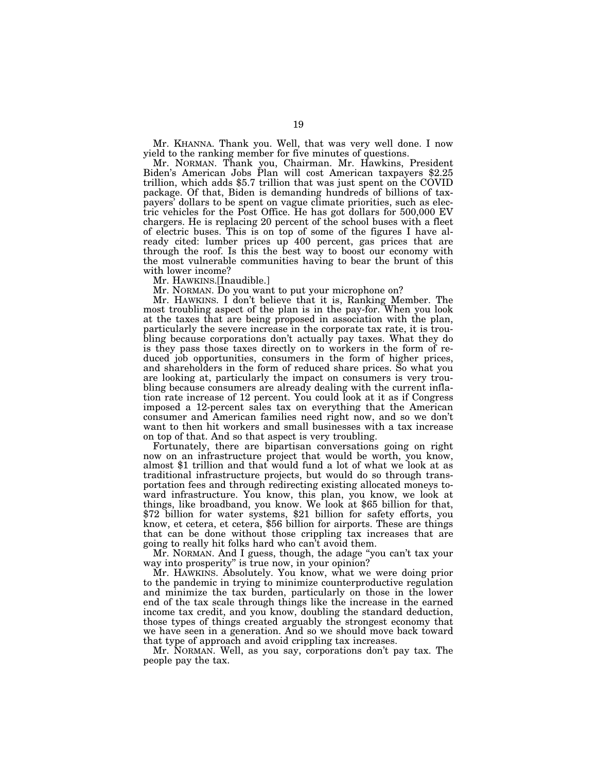Mr. KHANNA. Thank you. Well, that was very well done. I now yield to the ranking member for five minutes of questions.

Mr. NORMAN. Thank you, Chairman. Mr. Hawkins, President Biden's American Jobs Plan will cost American taxpayers \$2.25 trillion, which adds \$5.7 trillion that was just spent on the COVID package. Of that, Biden is demanding hundreds of billions of taxpayers' dollars to be spent on vague climate priorities, such as electric vehicles for the Post Office. He has got dollars for 500,000 EV chargers. He is replacing 20 percent of the school buses with a fleet of electric buses. This is on top of some of the figures I have already cited: lumber prices up 400 percent, gas prices that are through the roof. Is this the best way to boost our economy with the most vulnerable communities having to bear the brunt of this with lower income?

Mr. HAWKINS.[Inaudible.]

Mr. NORMAN. Do you want to put your microphone on?

Mr. HAWKINS. I don't believe that it is, Ranking Member. The most troubling aspect of the plan is in the pay-for. When you look at the taxes that are being proposed in association with the plan, particularly the severe increase in the corporate tax rate, it is troubling because corporations don't actually pay taxes. What they do is they pass those taxes directly on to workers in the form of reduced job opportunities, consumers in the form of higher prices, and shareholders in the form of reduced share prices. So what you are looking at, particularly the impact on consumers is very troubling because consumers are already dealing with the current inflation rate increase of 12 percent. You could look at it as if Congress imposed a 12-percent sales tax on everything that the American consumer and American families need right now, and so we don't want to then hit workers and small businesses with a tax increase on top of that. And so that aspect is very troubling.

Fortunately, there are bipartisan conversations going on right now on an infrastructure project that would be worth, you know, almost \$1 trillion and that would fund a lot of what we look at as traditional infrastructure projects, but would do so through transportation fees and through redirecting existing allocated moneys toward infrastructure. You know, this plan, you know, we look at things, like broadband, you know. We look at \$65 billion for that, \$72 billion for water systems, \$21 billion for safety efforts, you know, et cetera, et cetera, \$56 billion for airports. These are things that can be done without those crippling tax increases that are going to really hit folks hard who can't avoid them.

Mr. NORMAN. And I guess, though, the adage ''you can't tax your way into prosperity'' is true now, in your opinion?

Mr. HAWKINS. Absolutely. You know, what we were doing prior to the pandemic in trying to minimize counterproductive regulation and minimize the tax burden, particularly on those in the lower end of the tax scale through things like the increase in the earned income tax credit, and you know, doubling the standard deduction, those types of things created arguably the strongest economy that we have seen in a generation. And so we should move back toward that type of approach and avoid crippling tax increases.

Mr. NORMAN. Well, as you say, corporations don't pay tax. The people pay the tax.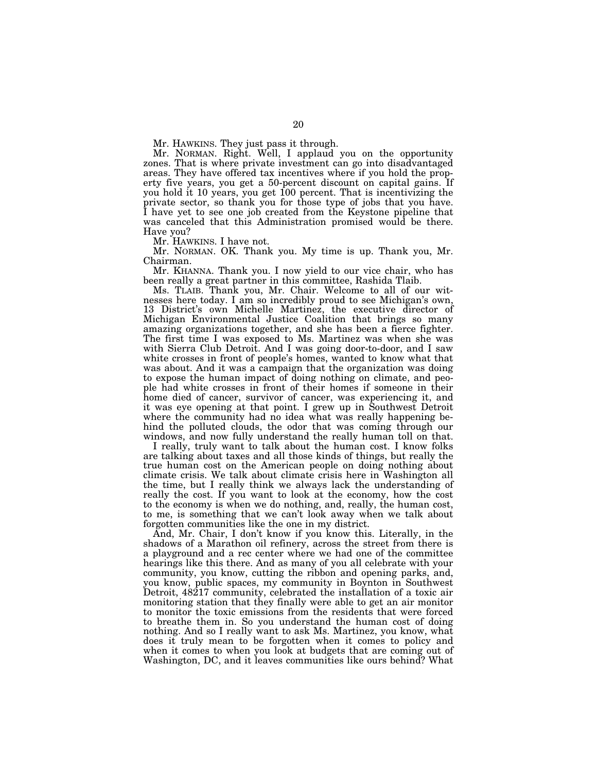Mr. HAWKINS. They just pass it through.

Mr. NORMAN. Right. Well, I applaud you on the opportunity zones. That is where private investment can go into disadvantaged areas. They have offered tax incentives where if you hold the property five years, you get a 50-percent discount on capital gains. If you hold it 10 years, you get 100 percent. That is incentivizing the private sector, so thank you for those type of jobs that you have. I have yet to see one job created from the Keystone pipeline that was canceled that this Administration promised would be there. Have you?

Mr. HAWKINS. I have not.

Mr. NORMAN. OK. Thank you. My time is up. Thank you, Mr. Chairman.

Mr. KHANNA. Thank you. I now yield to our vice chair, who has been really a great partner in this committee, Rashida Tlaib.

Ms. TLAIB. Thank you, Mr. Chair. Welcome to all of our witnesses here today. I am so incredibly proud to see Michigan's own, 13 District's own Michelle Martinez, the executive director of Michigan Environmental Justice Coalition that brings so many amazing organizations together, and she has been a fierce fighter. The first time I was exposed to Ms. Martinez was when she was with Sierra Club Detroit. And I was going door-to-door, and I saw white crosses in front of people's homes, wanted to know what that was about. And it was a campaign that the organization was doing to expose the human impact of doing nothing on climate, and people had white crosses in front of their homes if someone in their home died of cancer, survivor of cancer, was experiencing it, and it was eye opening at that point. I grew up in Southwest Detroit where the community had no idea what was really happening behind the polluted clouds, the odor that was coming through our windows, and now fully understand the really human toll on that.

I really, truly want to talk about the human cost. I know folks are talking about taxes and all those kinds of things, but really the true human cost on the American people on doing nothing about climate crisis. We talk about climate crisis here in Washington all the time, but I really think we always lack the understanding of really the cost. If you want to look at the economy, how the cost to the economy is when we do nothing, and, really, the human cost, to me, is something that we can't look away when we talk about forgotten communities like the one in my district.

And, Mr. Chair, I don't know if you know this. Literally, in the shadows of a Marathon oil refinery, across the street from there is a playground and a rec center where we had one of the committee hearings like this there. And as many of you all celebrate with your community, you know, cutting the ribbon and opening parks, and, you know, public spaces, my community in Boynton in Southwest Detroit, 48217 community, celebrated the installation of a toxic air monitoring station that they finally were able to get an air monitor to monitor the toxic emissions from the residents that were forced to breathe them in. So you understand the human cost of doing nothing. And so I really want to ask Ms. Martinez, you know, what does it truly mean to be forgotten when it comes to policy and when it comes to when you look at budgets that are coming out of Washington, DC, and it leaves communities like ours behind? What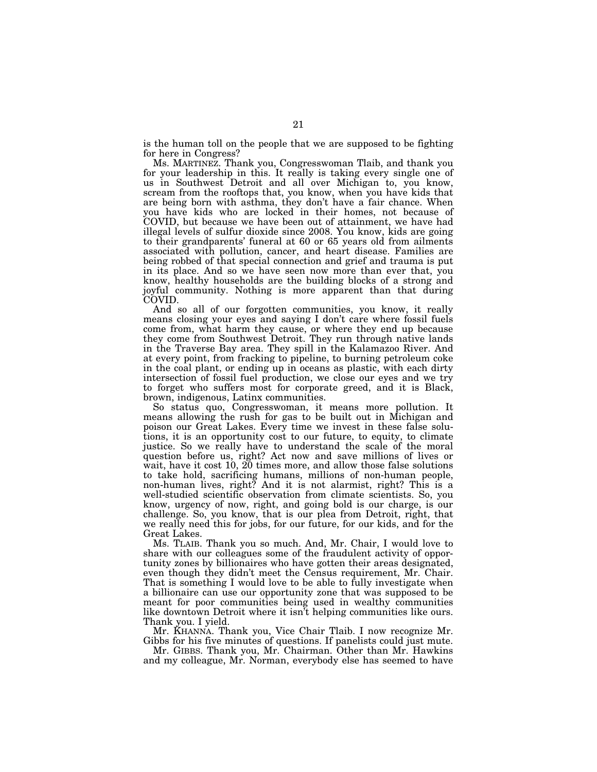is the human toll on the people that we are supposed to be fighting for here in Congress?

Ms. MARTINEZ. Thank you, Congresswoman Tlaib, and thank you for your leadership in this. It really is taking every single one of us in Southwest Detroit and all over Michigan to, you know, scream from the rooftops that, you know, when you have kids that are being born with asthma, they don't have a fair chance. When you have kids who are locked in their homes, not because of COVID, but because we have been out of attainment, we have had illegal levels of sulfur dioxide since 2008. You know, kids are going to their grandparents' funeral at 60 or 65 years old from ailments associated with pollution, cancer, and heart disease. Families are being robbed of that special connection and grief and trauma is put in its place. And so we have seen now more than ever that, you know, healthy households are the building blocks of a strong and joyful community. Nothing is more apparent than that during COVID.

And so all of our forgotten communities, you know, it really means closing your eyes and saying I don't care where fossil fuels come from, what harm they cause, or where they end up because they come from Southwest Detroit. They run through native lands in the Traverse Bay area. They spill in the Kalamazoo River. And at every point, from fracking to pipeline, to burning petroleum coke in the coal plant, or ending up in oceans as plastic, with each dirty intersection of fossil fuel production, we close our eyes and we try to forget who suffers most for corporate greed, and it is Black, brown, indigenous, Latinx communities.

So status quo, Congresswoman, it means more pollution. It means allowing the rush for gas to be built out in Michigan and poison our Great Lakes. Every time we invest in these false solutions, it is an opportunity cost to our future, to equity, to climate justice. So we really have to understand the scale of the moral question before us, right? Act now and save millions of lives or wait, have it cost 10, 20 times more, and allow those false solutions to take hold, sacrificing humans, millions of non-human people, non-human lives, right? And it is not alarmist, right? This is a well-studied scientific observation from climate scientists. So, you know, urgency of now, right, and going bold is our charge, is our challenge. So, you know, that is our plea from Detroit, right, that we really need this for jobs, for our future, for our kids, and for the Great Lakes.

Ms. TLAIB. Thank you so much. And, Mr. Chair, I would love to share with our colleagues some of the fraudulent activity of opportunity zones by billionaires who have gotten their areas designated, even though they didn't meet the Census requirement, Mr. Chair. That is something I would love to be able to fully investigate when a billionaire can use our opportunity zone that was supposed to be meant for poor communities being used in wealthy communities like downtown Detroit where it isn't helping communities like ours. Thank you. I yield.

Mr. KHANNA. Thank you, Vice Chair Tlaib. I now recognize Mr. Gibbs for his five minutes of questions. If panelists could just mute.

Mr. GIBBS. Thank you, Mr. Chairman. Other than Mr. Hawkins and my colleague, Mr. Norman, everybody else has seemed to have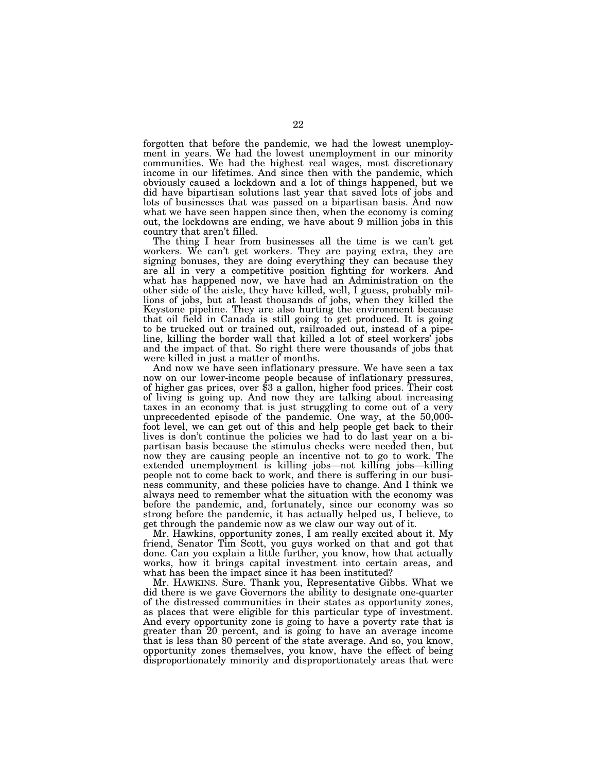forgotten that before the pandemic, we had the lowest unemployment in years. We had the lowest unemployment in our minority communities. We had the highest real wages, most discretionary income in our lifetimes. And since then with the pandemic, which obviously caused a lockdown and a lot of things happened, but we did have bipartisan solutions last year that saved lots of jobs and lots of businesses that was passed on a bipartisan basis. And now what we have seen happen since then, when the economy is coming out, the lockdowns are ending, we have about 9 million jobs in this country that aren't filled.

The thing I hear from businesses all the time is we can't get workers. We can't get workers. They are paying extra, they are signing bonuses, they are doing everything they can because they are all in very a competitive position fighting for workers. And what has happened now, we have had an Administration on the other side of the aisle, they have killed, well, I guess, probably millions of jobs, but at least thousands of jobs, when they killed the Keystone pipeline. They are also hurting the environment because that oil field in Canada is still going to get produced. It is going to be trucked out or trained out, railroaded out, instead of a pipeline, killing the border wall that killed a lot of steel workers' jobs and the impact of that. So right there were thousands of jobs that were killed in just a matter of months.

And now we have seen inflationary pressure. We have seen a tax now on our lower-income people because of inflationary pressures, of higher gas prices, over \$3 a gallon, higher food prices. Their cost of living is going up. And now they are talking about increasing taxes in an economy that is just struggling to come out of a very unprecedented episode of the pandemic. One way, at the 50,000 foot level, we can get out of this and help people get back to their lives is don't continue the policies we had to do last year on a bipartisan basis because the stimulus checks were needed then, but now they are causing people an incentive not to go to work. The extended unemployment is killing jobs—not killing jobs—killing people not to come back to work, and there is suffering in our business community, and these policies have to change. And I think we always need to remember what the situation with the economy was before the pandemic, and, fortunately, since our economy was so strong before the pandemic, it has actually helped us, I believe, to get through the pandemic now as we claw our way out of it.

Mr. Hawkins, opportunity zones, I am really excited about it. My friend, Senator Tim Scott, you guys worked on that and got that done. Can you explain a little further, you know, how that actually works, how it brings capital investment into certain areas, and what has been the impact since it has been instituted?

Mr. HAWKINS. Sure. Thank you, Representative Gibbs. What we did there is we gave Governors the ability to designate one-quarter of the distressed communities in their states as opportunity zones, as places that were eligible for this particular type of investment. And every opportunity zone is going to have a poverty rate that is greater than 20 percent, and is going to have an average income that is less than 80 percent of the state average. And so, you know, opportunity zones themselves, you know, have the effect of being disproportionately minority and disproportionately areas that were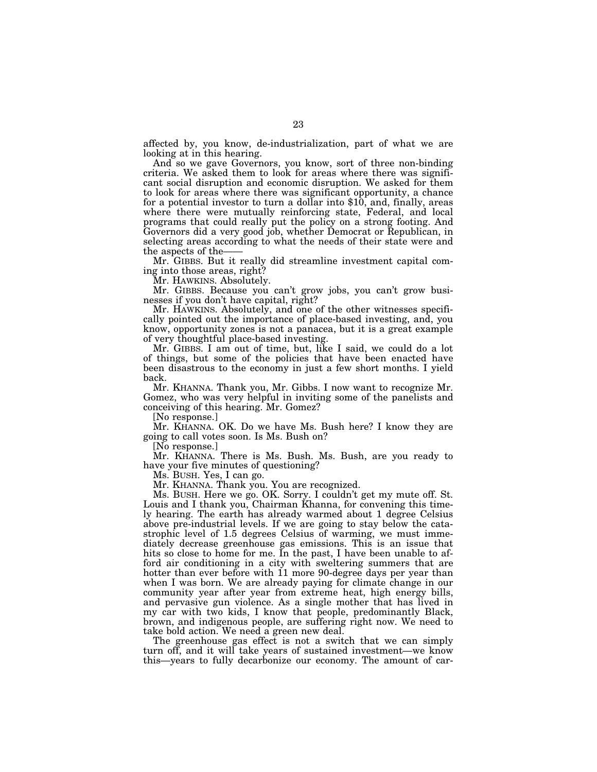affected by, you know, de-industrialization, part of what we are looking at in this hearing.

And so we gave Governors, you know, sort of three non-binding criteria. We asked them to look for areas where there was significant social disruption and economic disruption. We asked for them to look for areas where there was significant opportunity, a chance for a potential investor to turn a dollar into \$10, and, finally, areas where there were mutually reinforcing state, Federal, and local programs that could really put the policy on a strong footing. And Governors did a very good job, whether Democrat or Republican, in selecting areas according to what the needs of their state were and the aspects of the-

Mr. GIBBS. But it really did streamline investment capital coming into those areas, right?

Mr. HAWKINS. Absolutely.

Mr. GIBBS. Because you can't grow jobs, you can't grow businesses if you don't have capital, right?

Mr. HAWKINS. Absolutely, and one of the other witnesses specifically pointed out the importance of place-based investing, and, you know, opportunity zones is not a panacea, but it is a great example of very thoughtful place-based investing.

Mr. GIBBS. I am out of time, but, like I said, we could do a lot of things, but some of the policies that have been enacted have been disastrous to the economy in just a few short months. I yield back.

Mr. KHANNA. Thank you, Mr. Gibbs. I now want to recognize Mr. Gomez, who was very helpful in inviting some of the panelists and conceiving of this hearing. Mr. Gomez?

[No response.]

Mr. KHANNA. OK. Do we have Ms. Bush here? I know they are going to call votes soon. Is Ms. Bush on?

[No response.]

Mr. KHANNA. There is Ms. Bush. Ms. Bush, are you ready to have your five minutes of questioning?

Ms. BUSH. Yes, I can go.

Mr. KHANNA. Thank you. You are recognized.

Ms. BUSH. Here we go. OK. Sorry. I couldn't get my mute off. St. Louis and I thank you, Chairman Khanna, for convening this timely hearing. The earth has already warmed about 1 degree Celsius above pre-industrial levels. If we are going to stay below the catastrophic level of 1.5 degrees Celsius of warming, we must immediately decrease greenhouse gas emissions. This is an issue that hits so close to home for me. In the past, I have been unable to afford air conditioning in a city with sweltering summers that are hotter than ever before with 11 more 90-degree days per year than when I was born. We are already paying for climate change in our community year after year from extreme heat, high energy bills, and pervasive gun violence. As a single mother that has lived in my car with two kids, I know that people, predominantly Black, brown, and indigenous people, are suffering right now. We need to take bold action. We need a green new deal.

The greenhouse gas effect is not a switch that we can simply turn off, and it will take years of sustained investment—we know this—years to fully decarbonize our economy. The amount of car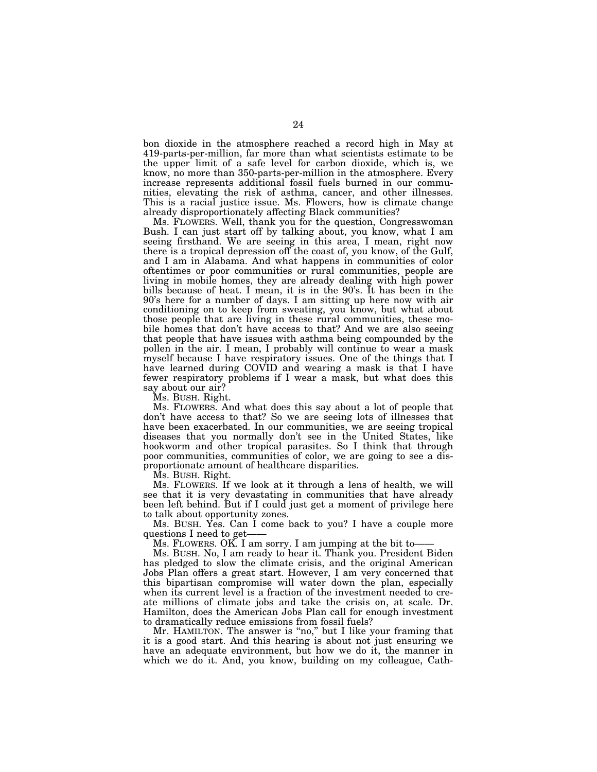bon dioxide in the atmosphere reached a record high in May at 419-parts-per-million, far more than what scientists estimate to be the upper limit of a safe level for carbon dioxide, which is, we know, no more than 350-parts-per-million in the atmosphere. Every increase represents additional fossil fuels burned in our communities, elevating the risk of asthma, cancer, and other illnesses. This is a racial justice issue. Ms. Flowers, how is climate change already disproportionately affecting Black communities?

Ms. FLOWERS. Well, thank you for the question, Congresswoman Bush. I can just start off by talking about, you know, what I am seeing firsthand. We are seeing in this area, I mean, right now there is a tropical depression off the coast of, you know, of the Gulf, and I am in Alabama. And what happens in communities of color oftentimes or poor communities or rural communities, people are living in mobile homes, they are already dealing with high power bills because of heat. I mean, it is in the 90's. It has been in the 90's here for a number of days. I am sitting up here now with air conditioning on to keep from sweating, you know, but what about those people that are living in these rural communities, these mobile homes that don't have access to that? And we are also seeing that people that have issues with asthma being compounded by the pollen in the air. I mean, I probably will continue to wear a mask myself because I have respiratory issues. One of the things that I have learned during COVID and wearing a mask is that I have fewer respiratory problems if I wear a mask, but what does this say about our air?

Ms. BUSH. Right.

Ms. FLOWERS. And what does this say about a lot of people that don't have access to that? So we are seeing lots of illnesses that have been exacerbated. In our communities, we are seeing tropical diseases that you normally don't see in the United States, like hookworm and other tropical parasites. So I think that through poor communities, communities of color, we are going to see a disproportionate amount of healthcare disparities.

Ms. BUSH. Right.

Ms. FLOWERS. If we look at it through a lens of health, we will see that it is very devastating in communities that have already been left behind. But if I could just get a moment of privilege here to talk about opportunity zones.

Ms. BUSH. Yes. Can I come back to you? I have a couple more questions I need to get-

Ms. FLOWERS. OK. I am sorry. I am jumping at the bit to-

Ms. BUSH. No, I am ready to hear it. Thank you. President Biden has pledged to slow the climate crisis, and the original American Jobs Plan offers a great start. However, I am very concerned that this bipartisan compromise will water down the plan, especially when its current level is a fraction of the investment needed to create millions of climate jobs and take the crisis on, at scale. Dr. Hamilton, does the American Jobs Plan call for enough investment to dramatically reduce emissions from fossil fuels?

Mr. HAMILTON. The answer is "no," but I like your framing that it is a good start. And this hearing is about not just ensuring we have an adequate environment, but how we do it, the manner in which we do it. And, you know, building on my colleague, Cath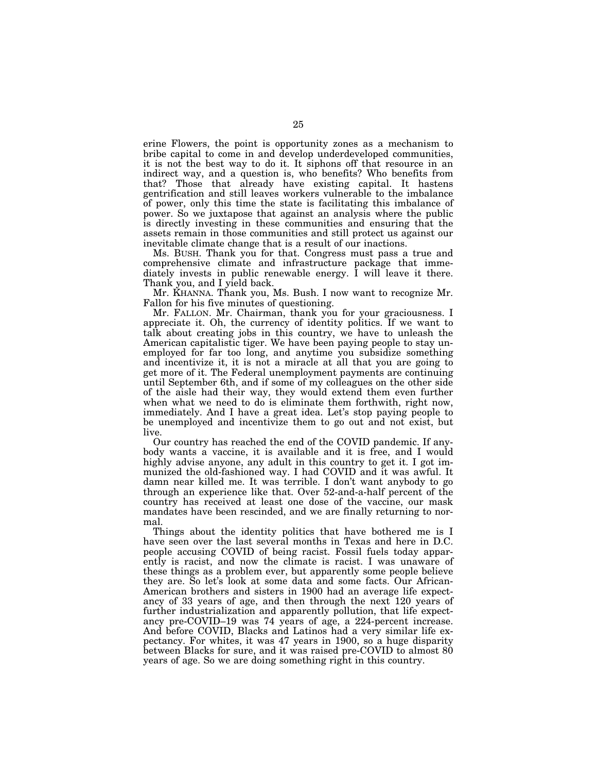erine Flowers, the point is opportunity zones as a mechanism to bribe capital to come in and develop underdeveloped communities, it is not the best way to do it. It siphons off that resource in an indirect way, and a question is, who benefits? Who benefits from that? Those that already have existing capital. It hastens gentrification and still leaves workers vulnerable to the imbalance of power, only this time the state is facilitating this imbalance of power. So we juxtapose that against an analysis where the public is directly investing in these communities and ensuring that the assets remain in those communities and still protect us against our inevitable climate change that is a result of our inactions.

Ms. BUSH. Thank you for that. Congress must pass a true and comprehensive climate and infrastructure package that immediately invests in public renewable energy. I will leave it there. Thank you, and I yield back.

Mr. KHANNA. Thank you, Ms. Bush. I now want to recognize Mr. Fallon for his five minutes of questioning.

Mr. FALLON. Mr. Chairman, thank you for your graciousness. I appreciate it. Oh, the currency of identity politics. If we want to talk about creating jobs in this country, we have to unleash the American capitalistic tiger. We have been paying people to stay unemployed for far too long, and anytime you subsidize something and incentivize it, it is not a miracle at all that you are going to get more of it. The Federal unemployment payments are continuing until September 6th, and if some of my colleagues on the other side of the aisle had their way, they would extend them even further when what we need to do is eliminate them forthwith, right now, immediately. And I have a great idea. Let's stop paying people to be unemployed and incentivize them to go out and not exist, but live.

Our country has reached the end of the COVID pandemic. If anybody wants a vaccine, it is available and it is free, and I would highly advise anyone, any adult in this country to get it. I got immunized the old-fashioned way. I had COVID and it was awful. It damn near killed me. It was terrible. I don't want anybody to go through an experience like that. Over 52-and-a-half percent of the country has received at least one dose of the vaccine, our mask mandates have been rescinded, and we are finally returning to normal.

Things about the identity politics that have bothered me is I have seen over the last several months in Texas and here in D.C. people accusing COVID of being racist. Fossil fuels today apparently is racist, and now the climate is racist. I was unaware of these things as a problem ever, but apparently some people believe they are. So let's look at some data and some facts. Our African-American brothers and sisters in 1900 had an average life expectancy of 33 years of age, and then through the next 120 years of further industrialization and apparently pollution, that life expectancy pre-COVID–19 was 74 years of age, a 224-percent increase. And before COVID, Blacks and Latinos had a very similar life expectancy. For whites, it was 47 years in 1900, so a huge disparity between Blacks for sure, and it was raised pre-COVID to almost 80 years of age. So we are doing something right in this country.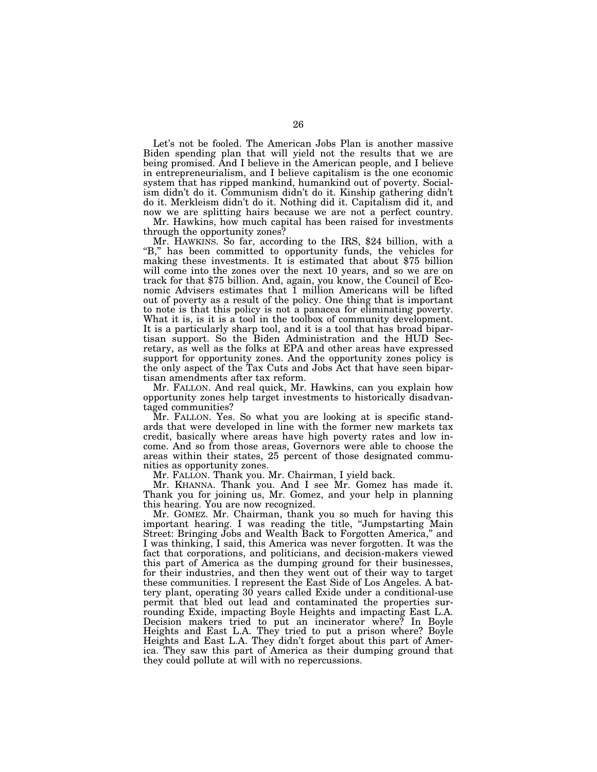Let's not be fooled. The American Jobs Plan is another massive Biden spending plan that will yield not the results that we are being promised. And I believe in the American people, and I believe in entrepreneurialism, and I believe capitalism is the one economic system that has ripped mankind, humankind out of poverty. Socialism didn't do it. Communism didn't do it. Kinship gathering didn't do it. Merkleism didn't do it. Nothing did it. Capitalism did it, and now we are splitting hairs because we are not a perfect country.

Mr. Hawkins, how much capital has been raised for investments through the opportunity zones?

Mr. HAWKINS. So far, according to the IRS, \$24 billion, with a "B," has been committed to opportunity funds, the vehicles for making these investments. It is estimated that about \$75 billion will come into the zones over the next 10 years, and so we are on track for that \$75 billion. And, again, you know, the Council of Economic Advisers estimates that 1 million Americans will be lifted out of poverty as a result of the policy. One thing that is important to note is that this policy is not a panacea for eliminating poverty. What it is, is it is a tool in the toolbox of community development. It is a particularly sharp tool, and it is a tool that has broad bipartisan support. So the Biden Administration and the HUD Secretary, as well as the folks at EPA and other areas have expressed support for opportunity zones. And the opportunity zones policy is the only aspect of the Tax Cuts and Jobs Act that have seen bipartisan amendments after tax reform.

Mr. FALLON. And real quick, Mr. Hawkins, can you explain how opportunity zones help target investments to historically disadvantaged communities?

Mr. FALLON. Yes. So what you are looking at is specific standards that were developed in line with the former new markets tax credit, basically where areas have high poverty rates and low income. And so from those areas, Governors were able to choose the areas within their states, 25 percent of those designated communities as opportunity zones.

Mr. FALLON. Thank you. Mr. Chairman, I yield back.

Mr. KHANNA. Thank you. And I see Mr. Gomez has made it. Thank you for joining us, Mr. Gomez, and your help in planning this hearing. You are now recognized.

Mr. GOMEZ. Mr. Chairman, thank you so much for having this important hearing. I was reading the title, "Jumpstarting Main Street: Bringing Jobs and Wealth Back to Forgotten America," and I was thinking, I said, this America was never forgotten. It was the fact that corporations, and politicians, and decision-makers viewed this part of America as the dumping ground for their businesses, for their industries, and then they went out of their way to target these communities. I represent the East Side of Los Angeles. A battery plant, operating 30 years called Exide under a conditional-use permit that bled out lead and contaminated the properties surrounding Exide, impacting Boyle Heights and impacting East L.A. Decision makers tried to put an incinerator where? In Boyle Heights and East L.A. They tried to put a prison where? Boyle Heights and East L.A. They didn't forget about this part of America. They saw this part of America as their dumping ground that they could pollute at will with no repercussions.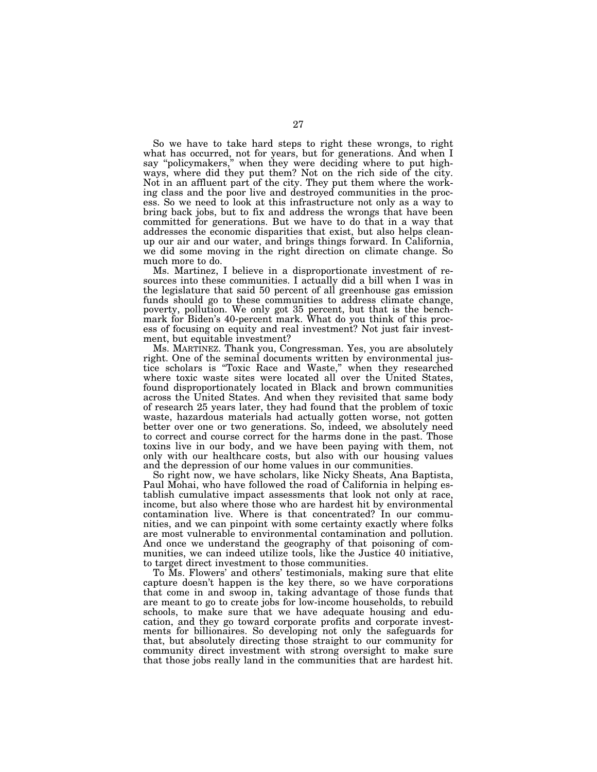So we have to take hard steps to right these wrongs, to right what has occurred, not for years, but for generations. And when I say ''policymakers,'' when they were deciding where to put highways, where did they put them? Not on the rich side of the city. Not in an affluent part of the city. They put them where the working class and the poor live and destroyed communities in the process. So we need to look at this infrastructure not only as a way to bring back jobs, but to fix and address the wrongs that have been committed for generations. But we have to do that in a way that addresses the economic disparities that exist, but also helps cleanup our air and our water, and brings things forward. In California, we did some moving in the right direction on climate change. So much more to do.

Ms. Martinez, I believe in a disproportionate investment of resources into these communities. I actually did a bill when I was in the legislature that said 50 percent of all greenhouse gas emission funds should go to these communities to address climate change, poverty, pollution. We only got 35 percent, but that is the benchmark for Biden's 40-percent mark. What do you think of this process of focusing on equity and real investment? Not just fair investment, but equitable investment?

Ms. MARTINEZ. Thank you, Congressman. Yes, you are absolutely right. One of the seminal documents written by environmental justice scholars is ''Toxic Race and Waste,'' when they researched where toxic waste sites were located all over the United States, found disproportionately located in Black and brown communities across the United States. And when they revisited that same body of research 25 years later, they had found that the problem of toxic waste, hazardous materials had actually gotten worse, not gotten better over one or two generations. So, indeed, we absolutely need to correct and course correct for the harms done in the past. Those toxins live in our body, and we have been paying with them, not only with our healthcare costs, but also with our housing values and the depression of our home values in our communities.

So right now, we have scholars, like Nicky Sheats, Ana Baptista, Paul Mohai, who have followed the road of California in helping establish cumulative impact assessments that look not only at race, income, but also where those who are hardest hit by environmental contamination live. Where is that concentrated? In our communities, and we can pinpoint with some certainty exactly where folks are most vulnerable to environmental contamination and pollution. And once we understand the geography of that poisoning of communities, we can indeed utilize tools, like the Justice 40 initiative, to target direct investment to those communities.

To Ms. Flowers' and others' testimonials, making sure that elite capture doesn't happen is the key there, so we have corporations that come in and swoop in, taking advantage of those funds that are meant to go to create jobs for low-income households, to rebuild schools, to make sure that we have adequate housing and education, and they go toward corporate profits and corporate investments for billionaires. So developing not only the safeguards for that, but absolutely directing those straight to our community for community direct investment with strong oversight to make sure that those jobs really land in the communities that are hardest hit.